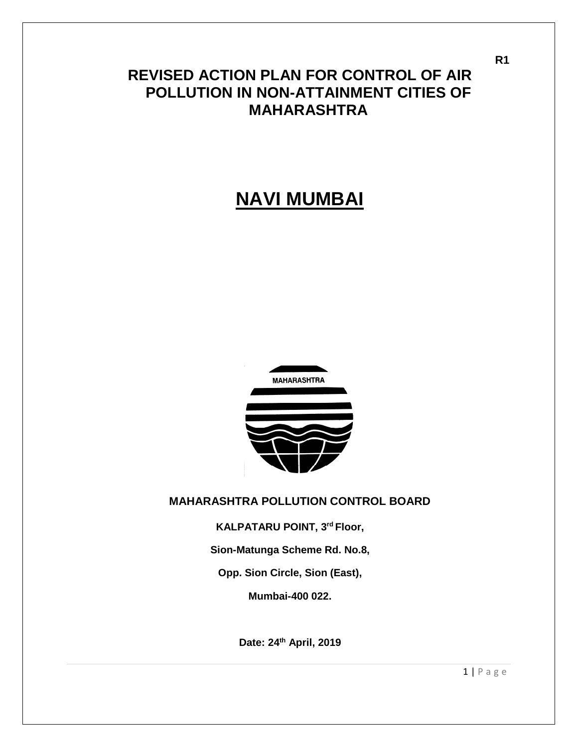# **REVISED ACTION PLAN FOR CONTROL OF AIR POLLUTION IN NON-ATTAINMENT CITIES OF MAHARASHTRA**

# **NAVI MUMBAI**



#### **MAHARASHTRA POLLUTION CONTROL BOARD**

**KALPATARU POINT, 3rd Floor,**

**Sion-Matunga Scheme Rd. No.8,** 

**Opp. Sion Circle, Sion (East),** 

**Mumbai-400 022.** 

**Date: 24th April, 2019** 

**R1**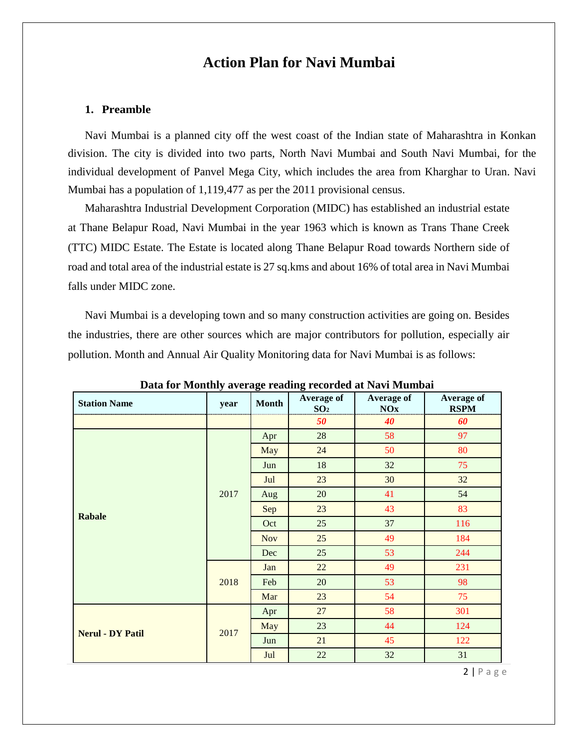## **Action Plan for Navi Mumbai**

#### **1. Preamble**

Navi Mumbai is a planned city off the west coast of the Indian state of Maharashtra in Konkan division. The city is divided into two parts, North Navi Mumbai and South Navi Mumbai, for the individual development of Panvel Mega City, which includes the area from Kharghar to Uran. Navi Mumbai has a population of 1,119,477 as per the 2011 provisional census.

Maharashtra Industrial Development Corporation (MIDC) has established an industrial estate at Thane Belapur Road, Navi Mumbai in the year 1963 which is known as Trans Thane Creek (TTC) MIDC Estate. The Estate is located along Thane Belapur Road towards Northern side of road and total area of the industrial estate is 27 sq.kms and about 16% of total area in Navi Mumbai falls under MIDC zone.

Navi Mumbai is a developing town and so many construction activities are going on. Besides the industries, there are other sources which are major contributors for pollution, especially air pollution. Month and Annual Air Quality Monitoring data for Navi Mumbai is as follows:

| <b>Station Name</b>     | year | $\circ$<br><b>Month</b> | o<br>Average of<br>SO <sub>2</sub> | <b>Average of</b><br>NOx | <b>Average of</b><br><b>RSPM</b> |
|-------------------------|------|-------------------------|------------------------------------|--------------------------|----------------------------------|
|                         |      |                         | 50                                 | 40                       | 60                               |
|                         |      | Apr                     | 28                                 | 58                       | 97                               |
|                         |      | May                     | 24                                 | 50                       | 80                               |
|                         |      | Jun                     | 18                                 | 32                       | 75                               |
|                         |      | Jul                     | 23                                 | 30                       | 32                               |
|                         | 2017 | Aug                     | 20                                 | 41                       | 54                               |
| <b>Rabale</b>           |      | Sep                     | 23                                 | 43                       | 83                               |
|                         |      | Oct                     | 25                                 | 37                       | 116                              |
|                         |      | <b>Nov</b>              | 25                                 | 49                       | 184                              |
|                         |      | Dec                     | 25                                 | 53                       | 244                              |
|                         |      | Jan                     | 22                                 | 49                       | 231                              |
|                         | 2018 | Feb                     | 20                                 | 53                       | 98                               |
|                         |      | Mar                     | 23                                 | 54                       | 75                               |
|                         |      | Apr                     | 27                                 | 58                       | 301                              |
| <b>Nerul - DY Patil</b> | 2017 | May                     | 23                                 | 44                       | 124                              |
|                         |      | Jun                     | 21                                 | 45                       | 122                              |
|                         |      | Jul                     | 22                                 | 32                       | 31                               |

**Data for Monthly average reading recorded at Navi Mumbai** 

2 | P a g e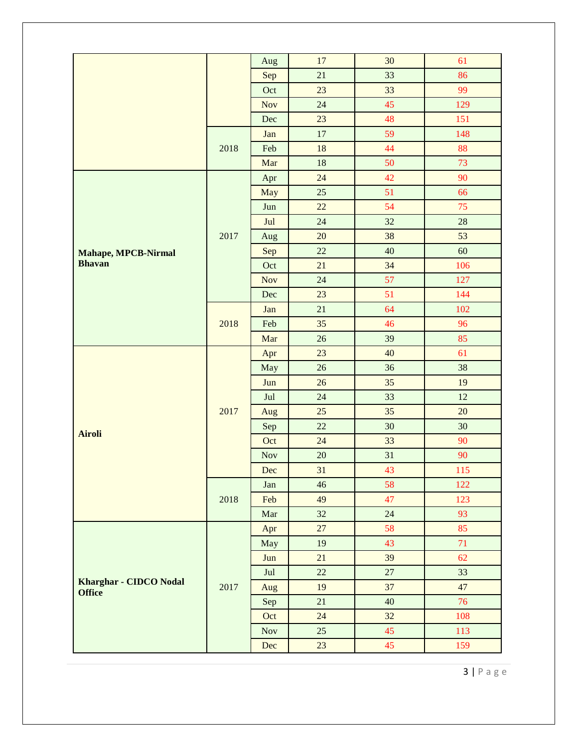| 17<br>30<br>61<br>Aug<br>21<br>33<br>86<br>Sep<br>23<br>33<br>99<br>Oct<br>45<br>129<br>24<br><b>Nov</b> |    |    |     |  |                               |
|----------------------------------------------------------------------------------------------------------|----|----|-----|--|-------------------------------|
|                                                                                                          |    |    |     |  |                               |
|                                                                                                          |    |    |     |  |                               |
|                                                                                                          |    |    |     |  |                               |
|                                                                                                          | 48 | 23 | Dec |  |                               |
| 151<br>59                                                                                                |    |    |     |  |                               |
| 17<br>148<br>Jan                                                                                         |    |    |     |  |                               |
| 44<br>88<br>18<br>Feb<br>2018                                                                            |    |    |     |  |                               |
| 50<br>73<br>Mar<br>18                                                                                    |    |    |     |  |                               |
| 24<br>42<br>90<br>Apr                                                                                    |    |    |     |  |                               |
| 51<br>66<br>25<br>May                                                                                    |    |    |     |  |                               |
| 54<br>75<br>22<br>Jun                                                                                    |    |    |     |  |                               |
| 32<br>28<br>24<br>Jul                                                                                    |    |    |     |  |                               |
| 53<br>20<br>38<br>2017<br>Aug                                                                            |    |    |     |  |                               |
| 22<br>40<br>60<br>Sep<br><b>Mahape, MPCB-Nirmal</b>                                                      |    |    |     |  |                               |
| <b>Bhavan</b><br>21<br>34<br>106<br>Oct                                                                  |    |    |     |  |                               |
| 57<br>127<br><b>Nov</b><br>24                                                                            |    |    |     |  |                               |
| 51<br>23<br>144<br>Dec                                                                                   |    |    |     |  |                               |
| 64<br>21<br>102<br>Jan                                                                                   |    |    |     |  |                               |
| 35<br>46<br>2018<br>96<br>Feb                                                                            |    |    |     |  |                               |
| 85<br>Mar<br>26<br>39                                                                                    |    |    |     |  |                               |
| 23<br>40<br>61<br>Apr                                                                                    |    |    |     |  |                               |
| 26<br>36<br>38<br>May                                                                                    |    |    |     |  |                               |
| 26<br>Jun<br>35<br>19                                                                                    |    |    |     |  |                               |
| 24<br>33<br>12<br>Jul                                                                                    |    |    |     |  |                               |
| 20<br>25<br>35<br>2017<br>Aug                                                                            |    |    |     |  |                               |
| 22<br>30<br>30<br>Sep<br><b>Airoli</b>                                                                   |    |    |     |  |                               |
| Oct<br>24<br>33<br>90                                                                                    |    |    |     |  |                               |
| 20<br>31<br>90<br><b>Nov</b>                                                                             |    |    |     |  |                               |
| 31<br>43<br>115<br>Dec                                                                                   |    |    |     |  |                               |
| 58<br>122<br>46<br>Jan                                                                                   |    |    |     |  |                               |
| 47<br>123<br>2018<br>49<br>Feb                                                                           |    |    |     |  |                               |
| 32<br>24<br>93<br>Mar                                                                                    |    |    |     |  |                               |
| 27<br>85<br>58<br>Apr                                                                                    |    |    |     |  |                               |
| 71<br>43<br>May<br>19                                                                                    |    |    |     |  |                               |
| 39<br>21<br>62<br>Jun                                                                                    |    |    |     |  |                               |
| 22<br>33<br>$27\,$<br>Jul                                                                                |    |    |     |  |                               |
| 2017<br>47<br>19<br>37<br>Aug<br><b>Office</b>                                                           |    |    |     |  | <b>Kharghar - CIDCO Nodal</b> |
| 76<br>21<br>40<br>Sep                                                                                    |    |    |     |  |                               |
| 32<br>24<br>108<br>Oct                                                                                   |    |    |     |  |                               |
| 25<br>45<br>113<br><b>Nov</b>                                                                            |    |    |     |  |                               |
| 23<br>45<br>159<br>Dec                                                                                   |    |    |     |  |                               |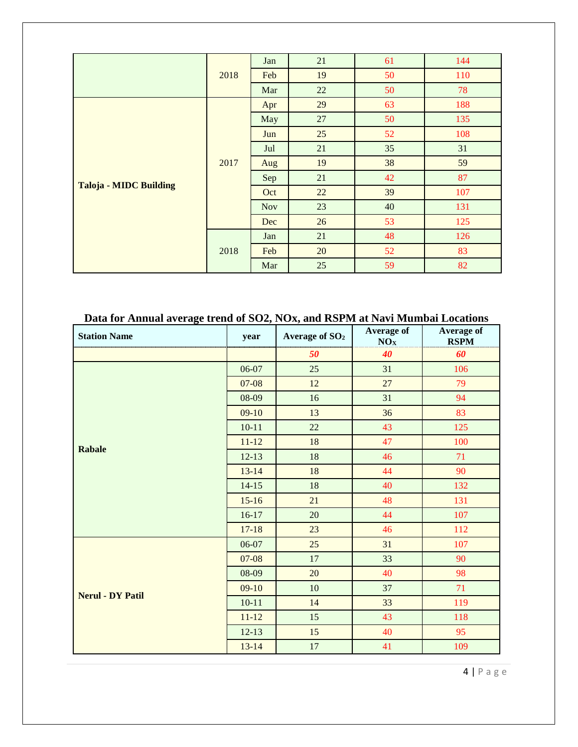|                               |      | Jan        | 21 | 61 | 144 |
|-------------------------------|------|------------|----|----|-----|
|                               | 2018 | Feb        | 19 | 50 | 110 |
|                               |      | Mar        | 22 | 50 | 78  |
|                               |      | Apr        | 29 | 63 | 188 |
|                               |      | May        | 27 | 50 | 135 |
|                               |      | Jun        | 25 | 52 | 108 |
|                               | 2017 | Jul        | 21 | 35 | 31  |
|                               |      | Aug        | 19 | 38 | 59  |
| <b>Taloja - MIDC Building</b> |      | Sep        | 21 | 42 | 87  |
|                               |      | Oct        | 22 | 39 | 107 |
|                               |      | <b>Nov</b> | 23 | 40 | 131 |
|                               |      | Dec        | 26 | 53 | 125 |
|                               |      | Jan        | 21 | 48 | 126 |
|                               | 2018 | Feb        | 20 | 52 | 83  |
|                               |      | Mar        | 25 | 59 | 82  |

### **Data for Annual average trend of SO2, NOx, and RSPM at Navi Mumbai Locations**

| <b>Station Name</b>     | year      | Average of SO <sub>2</sub> | Average of<br>NOx | Average of<br><b>RSPM</b> |
|-------------------------|-----------|----------------------------|-------------------|---------------------------|
|                         |           | 50                         | 40                | 60                        |
|                         | 06-07     | 25                         | 31                | 106                       |
|                         | $07 - 08$ | 12                         | 27                | 79                        |
|                         | 08-09     | 16                         | 31                | 94                        |
|                         | $09-10$   | 13                         | 36                | 83                        |
|                         | $10 - 11$ | 22                         | 43                | 125                       |
| <b>Rabale</b>           | $11 - 12$ | 18                         | 47                | 100                       |
|                         | $12-13$   | 18                         | 46                | 71                        |
|                         | $13 - 14$ | 18                         | 44                | 90                        |
|                         | $14 - 15$ | 18                         | 40                | 132                       |
|                         | $15 - 16$ | 21                         | 48                | 131                       |
|                         | $16-17$   | 20                         | 44                | 107                       |
|                         | $17 - 18$ | 23                         | 46                | 112                       |
|                         | 06-07     | 25                         | 31                | 107                       |
|                         | $07 - 08$ | $17\,$                     | 33                | 90                        |
|                         | 08-09     | 20                         | 40                | 98                        |
| <b>Nerul - DY Patil</b> | $09-10$   | $10\,$                     | 37                | 71                        |
|                         | $10 - 11$ | 14                         | 33                | 119                       |
|                         | $11 - 12$ | 15                         | 43                | 118                       |
|                         | $12-13$   | 15                         | 40                | 95                        |
|                         | $13 - 14$ | 17                         | 41                | 109                       |

4 | P a g e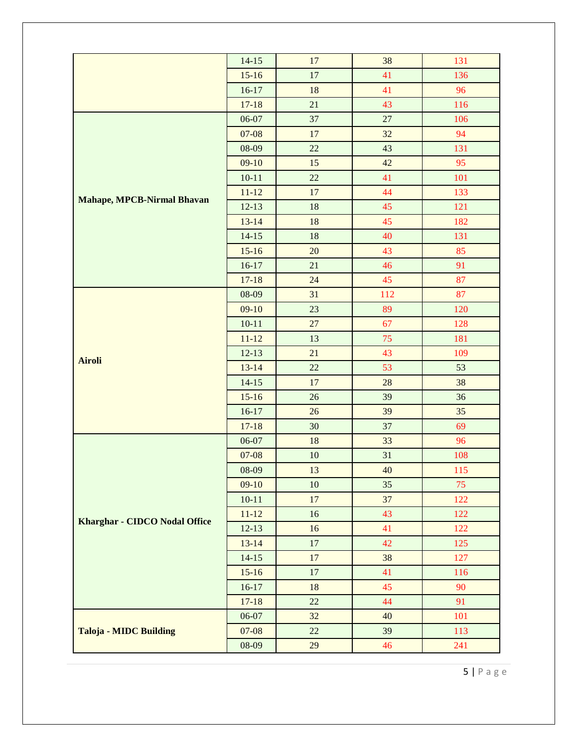|                                      | $14-15$   | 17     | 38  | 131 |
|--------------------------------------|-----------|--------|-----|-----|
|                                      | $15-16$   | $17\,$ | 41  | 136 |
|                                      | $16-17$   | 18     | 41  | 96  |
|                                      | $17 - 18$ | 21     | 43  | 116 |
|                                      | 06-07     | 37     | 27  | 106 |
|                                      | $07 - 08$ | 17     | 32  | 94  |
|                                      | 08-09     | 22     | 43  | 131 |
|                                      | $09-10$   | 15     | 42  | 95  |
|                                      | $10 - 11$ | 22     | 41  | 101 |
|                                      | $11 - 12$ | 17     | 44  | 133 |
| <b>Mahape, MPCB-Nirmal Bhavan</b>    | $12-13$   |        | 45  |     |
|                                      |           | 18     | 45  | 121 |
|                                      | $13 - 14$ | 18     |     | 182 |
|                                      | $14-15$   | 18     | 40  | 131 |
|                                      | $15 - 16$ | 20     | 43  | 85  |
|                                      | $16-17$   | 21     | 46  | 91  |
|                                      | $17 - 18$ | 24     | 45  | 87  |
|                                      | 08-09     | 31     | 112 | 87  |
|                                      | $09-10$   | 23     | 89  | 120 |
|                                      | $10 - 11$ | 27     | 67  | 128 |
|                                      | $11 - 12$ | 13     | 75  | 181 |
| <b>Airoli</b>                        | $12-13$   | 21     | 43  | 109 |
|                                      | $13 - 14$ | 22     | 53  | 53  |
|                                      | $14 - 15$ | 17     | 28  | 38  |
|                                      | $15 - 16$ | 26     | 39  | 36  |
|                                      | $16-17$   | 26     | 39  | 35  |
|                                      | $17 - 18$ | 30     | 37  | 69  |
|                                      | 06-07     | 18     | 33  | 96  |
|                                      | $07-08$   | 10     | 31  | 108 |
|                                      | 08-09     | 13     | 40  | 115 |
|                                      | $09-10$   | 10     | 35  | 75  |
|                                      | $10 - 11$ | 17     | 37  | 122 |
| <b>Kharghar - CIDCO Nodal Office</b> | $11 - 12$ | 16     | 43  | 122 |
|                                      | $12-13$   | 16     | 41  | 122 |
|                                      | $13 - 14$ | $17\,$ | 42  | 125 |
|                                      | $14 - 15$ | 17     | 38  | 127 |
|                                      | $15-16$   | 17     | 41  | 116 |
|                                      | $16-17$   | 18     | 45  | 90  |
|                                      | $17 - 18$ | $22\,$ | 44  | 91  |
|                                      | 06-07     | 32     | 40  | 101 |
| <b>Taloja - MIDC Building</b>        | $07-08$   | 22     | 39  | 113 |
|                                      | 08-09     | 29     | 46  | 241 |

5 | P a g e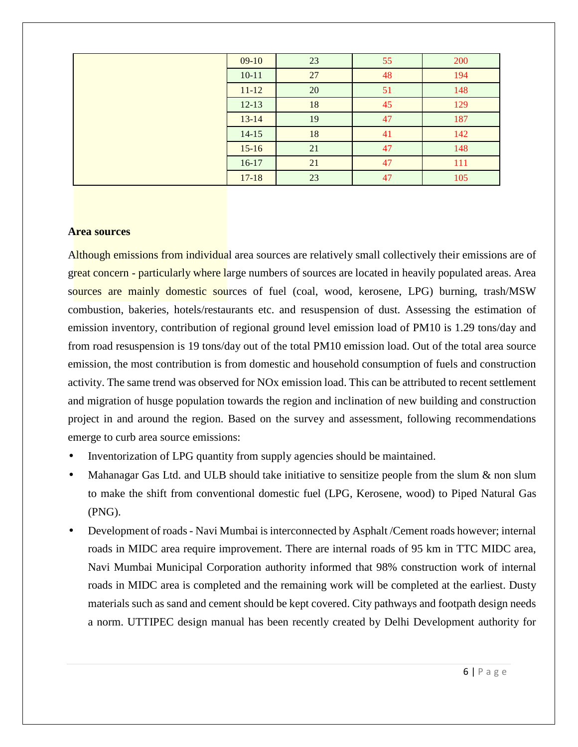| $09-10$   | 23 | 55 | 200 |
|-----------|----|----|-----|
| $10 - 11$ | 27 | 48 | 194 |
| $11 - 12$ | 20 | 51 | 148 |
| $12 - 13$ | 18 | 45 | 129 |
| $13 - 14$ | 19 | 47 | 187 |
| $14 - 15$ | 18 | 41 | 142 |
| $15-16$   | 21 | 47 | 148 |
| $16-17$   | 21 | 47 | 111 |
| $17 - 18$ | 23 | 47 | 105 |
|           |    |    |     |

#### **Area sources**

Although emissions from individual area sources are relatively small collectively their emissions are of great concern ‐ particularly where large numbers of sources are located in heavily populated areas. Area sources are mainly domestic sources of fuel (coal, wood, kerosene, LPG) burning, trash/MSW combustion, bakeries, hotels/restaurants etc. and resuspension of dust. Assessing the estimation of emission inventory, contribution of regional ground level emission load of PM10 is 1.29 tons/day and from road resuspension is 19 tons/day out of the total PM10 emission load. Out of the total area source emission, the most contribution is from domestic and household consumption of fuels and construction activity. The same trend was observed for NOx emission load. This can be attributed to recent settlement and migration of husge population towards the region and inclination of new building and construction project in and around the region. Based on the survey and assessment, following recommendations emerge to curb area source emissions:

- Inventorization of LPG quantity from supply agencies should be maintained.
- Mahanagar Gas Ltd. and ULB should take initiative to sensitize people from the slum & non slum to make the shift from conventional domestic fuel (LPG, Kerosene, wood) to Piped Natural Gas (PNG).
- Development of roads Navi Mumbai is interconnected by Asphalt /Cement roads however; internal roads in MIDC area require improvement. There are internal roads of 95 km in TTC MIDC area, Navi Mumbai Municipal Corporation authority informed that 98% construction work of internal roads in MIDC area is completed and the remaining work will be completed at the earliest. Dusty materials such as sand and cement should be kept covered. City pathways and footpath design needs a norm. UTTIPEC design manual has been recently created by Delhi Development authority for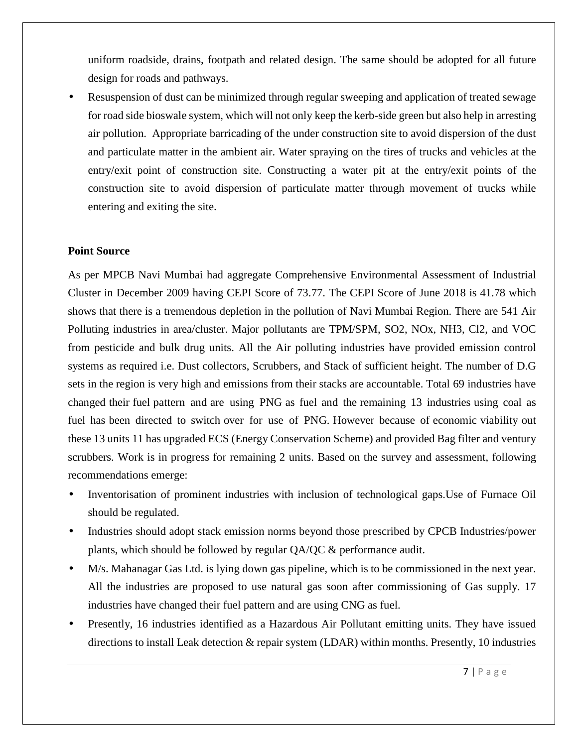uniform roadside, drains, footpath and related design. The same should be adopted for all future design for roads and pathways.

• Resuspension of dust can be minimized through regular sweeping and application of treated sewage for road side bioswale system, which will not only keep the kerb-side green but also help in arresting air pollution. Appropriate barricading of the under construction site to avoid dispersion of the dust and particulate matter in the ambient air. Water spraying on the tires of trucks and vehicles at the entry/exit point of construction site. Constructing a water pit at the entry/exit points of the construction site to avoid dispersion of particulate matter through movement of trucks while entering and exiting the site.

#### **Point Source**

As per MPCB Navi Mumbai had aggregate Comprehensive Environmental Assessment of Industrial Cluster in December 2009 having CEPI Score of 73.77. The CEPI Score of June 2018 is 41.78 which shows that there is a tremendous depletion in the pollution of Navi Mumbai Region. There are 541 Air Polluting industries in area/cluster. Major pollutants are TPM/SPM, SO2, NOx, NH3, Cl2, and VOC from pesticide and bulk drug units. All the Air polluting industries have provided emission control systems as required i.e. Dust collectors, Scrubbers, and Stack of sufficient height. The number of D.G sets in the region is very high and emissions from their stacks are accountable. Total 69 industries have changed their fuel pattern and are using PNG as fuel and the remaining 13 industries using coal as fuel has been directed to switch over for use of PNG. However because of economic viability out these 13 units 11 has upgraded ECS (Energy Conservation Scheme) and provided Bag filter and ventury scrubbers. Work is in progress for remaining 2 units. Based on the survey and assessment, following recommendations emerge:

- Inventorisation of prominent industries with inclusion of technological gaps.Use of Furnace Oil should be regulated.
- Industries should adopt stack emission norms beyond those prescribed by CPCB Industries/power plants, which should be followed by regular QA/QC & performance audit.
- M/s. Mahanagar Gas Ltd. is lying down gas pipeline, which is to be commissioned in the next year. All the industries are proposed to use natural gas soon after commissioning of Gas supply. 17 industries have changed their fuel pattern and are using CNG as fuel.
- Presently, 16 industries identified as a Hazardous Air Pollutant emitting units. They have issued directions to install Leak detection & repair system (LDAR) within months. Presently, 10 industries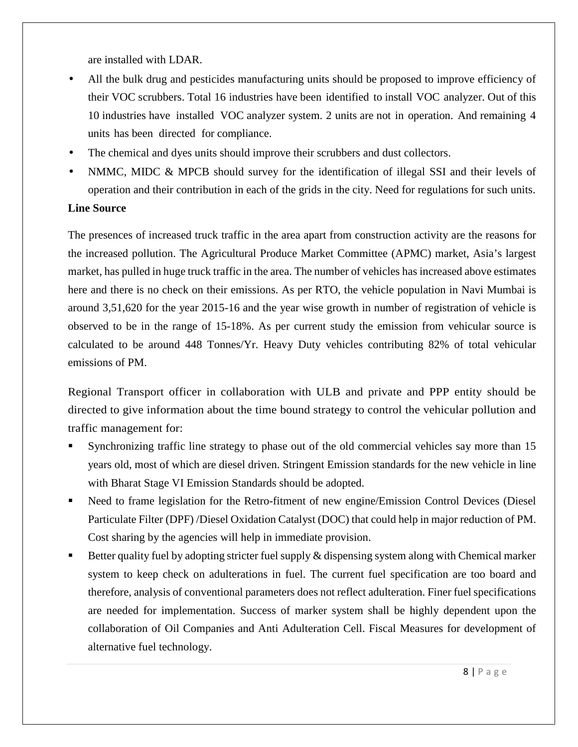are installed with LDAR.

- All the bulk drug and pesticides manufacturing units should be proposed to improve efficiency of their VOC scrubbers. Total 16 industries have been identified to install VOC analyzer. Out of this 10 industries have installed VOC analyzer system. 2 units are not in operation. And remaining 4 units has been directed for compliance.
- The chemical and dyes units should improve their scrubbers and dust collectors.
- NMMC, MIDC & MPCB should survey for the identification of illegal SSI and their levels of operation and their contribution in each of the grids in the city. Need for regulations for such units.

#### **Line Source**

The presences of increased truck traffic in the area apart from construction activity are the reasons for the increased pollution. The Agricultural Produce Market Committee (APMC) market, Asia's largest market, has pulled in huge truck traffic in the area. The number of vehicles has increased above estimates here and there is no check on their emissions. As per RTO, the vehicle population in Navi Mumbai is around 3,51,620 for the year 2015-16 and the year wise growth in number of registration of vehicle is observed to be in the range of 15-18%. As per current study the emission from vehicular source is calculated to be around 448 Tonnes/Yr. Heavy Duty vehicles contributing 82% of total vehicular emissions of PM.

Regional Transport officer in collaboration with ULB and private and PPP entity should be directed to give information about the time bound strategy to control the vehicular pollution and traffic management for:

- Synchronizing traffic line strategy to phase out of the old commercial vehicles say more than 15 years old, most of which are diesel driven. Stringent Emission standards for the new vehicle in line with Bharat Stage VI Emission Standards should be adopted.
- Need to frame legislation for the Retro-fitment of new engine/Emission Control Devices (Diesel Particulate Filter (DPF) /Diesel Oxidation Catalyst (DOC) that could help in major reduction of PM. Cost sharing by the agencies will help in immediate provision.
- Better quality fuel by adopting stricter fuel supply & dispensing system along with Chemical marker system to keep check on adulterations in fuel. The current fuel specification are too board and therefore, analysis of conventional parameters does not reflect adulteration. Finer fuel specifications are needed for implementation. Success of marker system shall be highly dependent upon the collaboration of Oil Companies and Anti Adulteration Cell. Fiscal Measures for development of alternative fuel technology.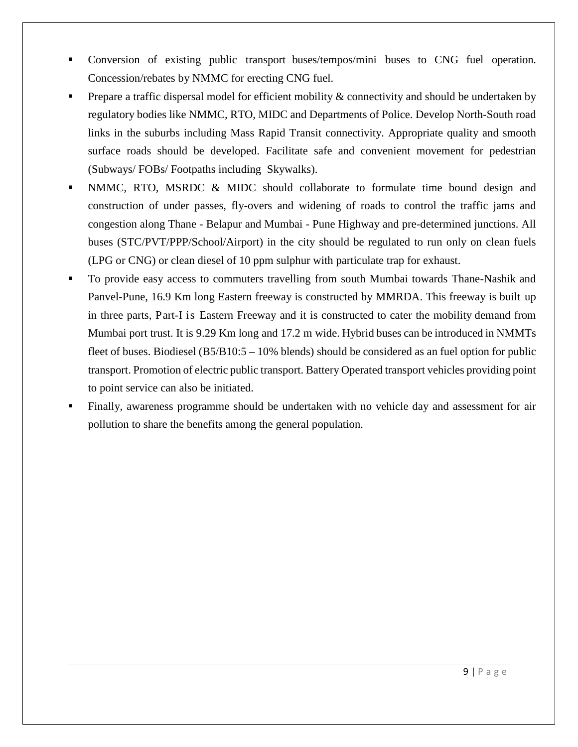- Conversion of existing public transport buses/tempos/mini buses to CNG fuel operation. Concession/rebates by NMMC for erecting CNG fuel.
- Prepare a traffic dispersal model for efficient mobility & connectivity and should be undertaken by regulatory bodies like NMMC, RTO, MIDC and Departments of Police. Develop North-South road links in the suburbs including Mass Rapid Transit connectivity. Appropriate quality and smooth surface roads should be developed. Facilitate safe and convenient movement for pedestrian (Subways/ FOBs/ Footpaths including Skywalks).
- NMMC, RTO, MSRDC & MIDC should collaborate to formulate time bound design and construction of under passes, fly-overs and widening of roads to control the traffic jams and congestion along Thane - Belapur and Mumbai - Pune Highway and pre-determined junctions. All buses (STC/PVT/PPP/School/Airport) in the city should be regulated to run only on clean fuels (LPG or CNG) or clean diesel of 10 ppm sulphur with particulate trap for exhaust.
- To provide easy access to commuters travelling from south Mumbai towards Thane-Nashik and Panvel-Pune, 16.9 Km long Eastern freeway is constructed by MMRDA. This freeway is built up in three parts, Part-I is Eastern Freeway and it is constructed to cater the mobility demand from Mumbai port trust. It is 9.29 Km long and 17.2 m wide. Hybrid buses can be introduced in NMMTs fleet of buses. Biodiesel (B5/B10:5 – 10% blends) should be considered as an fuel option for public transport. Promotion of electric public transport. Battery Operated transport vehicles providing point to point service can also be initiated.
- Finally, awareness programme should be undertaken with no vehicle day and assessment for air pollution to share the benefits among the general population.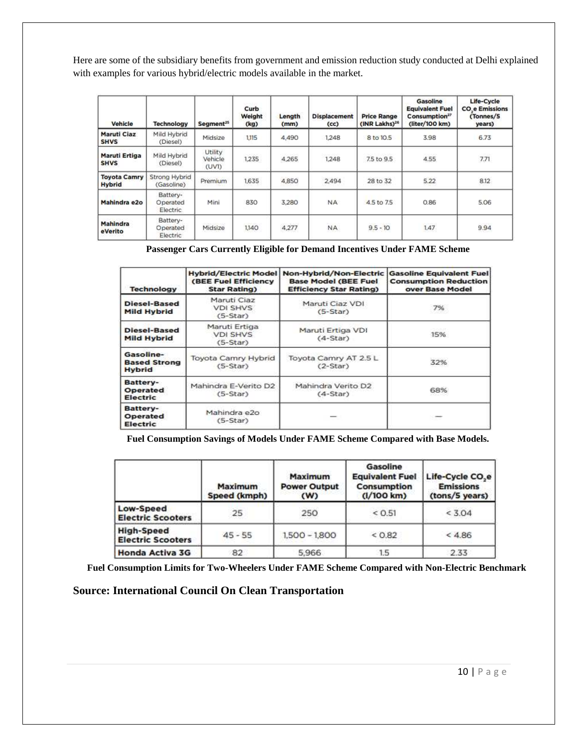Here are some of the subsidiary benefits from government and emission reduction study conducted at Delhi explained with examples for various hybrid/electric models available in the market.

| Vehicle                              | <b>Technology</b>                  | Segment <sup>25</sup>       | Curb<br>Weight<br>(kg) | Length<br>(mm) | <b>Displacement</b><br>(cc) | <b>Price Range</b><br>(INR Lakhs) <sup>26</sup> | Gasoline<br><b>Equivalent Fuel</b><br>Consumption <sup>27</sup><br>(liter/100 km) | Life-Cycle<br><b>CO<sub>.</sub>e</b> Emissions<br>(Tonnes/5)<br>years) |
|--------------------------------------|------------------------------------|-----------------------------|------------------------|----------------|-----------------------------|-------------------------------------------------|-----------------------------------------------------------------------------------|------------------------------------------------------------------------|
| Maruti Ciaz<br><b>SHVS</b>           | Mild Hybrid<br>(Diesel)            | Midsize                     | 1,115                  | 4,490          | 1,248                       | 8 to 10.5                                       | 3.98                                                                              | 6.73                                                                   |
| <b>Maruti Ertiga</b><br><b>SHVS</b>  | Mild Hybrid<br>(Diesel)            | Utility<br>Vehicle<br>(UVI) | 1,235                  | 4,265          | 1,248                       | 7.5 to 9.5                                      | <b>Accountability</b><br>4.55                                                     | 7.71                                                                   |
| <b>Toyota Camry</b><br><b>Hybrid</b> | <b>Strong Hybrid</b><br>(Gasoline) | Premium                     | 1,635                  | 4,850          | 2.494                       | 28 to 32                                        | 5.22                                                                              | 8.12                                                                   |
| Mahindra e2o                         | Battery-<br>Operated<br>Electric.  | Mini                        | 830                    | 3,280          | <b>NA</b>                   | 4.5 to 7.5                                      | 0.86                                                                              | 5.06                                                                   |
| Mahindra<br>eVerito                  | Battery-<br>Operated<br>Electric   | Midsize                     | <b>CANADA</b><br>1,140 | 4,277          | NA.                         | $9.5 - 10$                                      | 1.47                                                                              | 9.94                                                                   |

 **Passenger Cars Currently Eligible for Demand Incentives Under FAME Scheme** 

| <b>Technology</b>                                 | <b>Hybrid/Electric Model</b><br>(BEE Fuel Efficiency<br><b>Star Rating</b> ) | Non-Hybrid/Non-Electric<br><b>Base Model (BEE Fuel</b><br><b>Efficiency Star Rating)</b> | <b>Gasoline Equivalent Fuel</b><br><b>Consumption Reduction</b><br>over Base Model |
|---------------------------------------------------|------------------------------------------------------------------------------|------------------------------------------------------------------------------------------|------------------------------------------------------------------------------------|
| Diesel-Based<br><b>Mild Hybrid</b>                | Maruti Ciaz<br><b>VDI SHVS</b><br>$(5-Star)$                                 | Maruti Ciaz VDI<br>$(5-Star)$                                                            | 7%                                                                                 |
| Diesel-Based<br>Mild Hybrid                       | Maruti Ertiga<br><b>VDI SHVS</b><br>$(5-Star)$                               | Maruti Ertiga VDI<br>$(4-Star)$                                                          | 15%                                                                                |
| Gasoline-<br><b>Based Strong</b><br><b>Hybrid</b> | Toyota Camry Hybrid<br>$(5-Star)$                                            | Toyota Camry AT 2.5 L<br>$(2-Star)$                                                      | 32%                                                                                |
| Battery-<br>Operated<br>Electric                  | Mahindra E-Verito D2<br>$(5-Star)$                                           | Mahindra Verito D2<br>$(4-Star)$                                                         | 68%                                                                                |
| <b>Battery-</b><br>Operated<br>Electric           | Mahindra e2o<br>$(5-Star)$                                                   |                                                                                          |                                                                                    |

 **Fuel Consumption Savings of Models Under FAME Scheme Compared with Base Models.**

|                                               | Maximum<br>Speed (kmph) | <b>Maximum</b><br><b>Power Output</b><br>(W) | Gasoline<br><b>Equivalent Fuel</b><br>Consumption<br>(1/100 km) | Life-Cycle CO <sub>,e</sub><br><b>Emissions</b><br>(tons/5 years) |
|-----------------------------------------------|-------------------------|----------------------------------------------|-----------------------------------------------------------------|-------------------------------------------------------------------|
| Low-Speed<br><b>Electric Scooters</b>         | 25                      | 250                                          | < 0.51                                                          | < 3.04                                                            |
| <b>High-Speed</b><br><b>Electric Scooters</b> | $45 - 55$               | $1,500 - 1,800$                              | < 0.82                                                          | < 4.86                                                            |
| <b>Honda Activa 3G</b>                        | 82                      | 5.966                                        | 1.5                                                             | 2.33                                                              |

 **Fuel Consumption Limits for Two-Wheelers Under FAME Scheme Compared with Non-Electric Benchmark** 

#### **Source: International Council On Clean Transportation**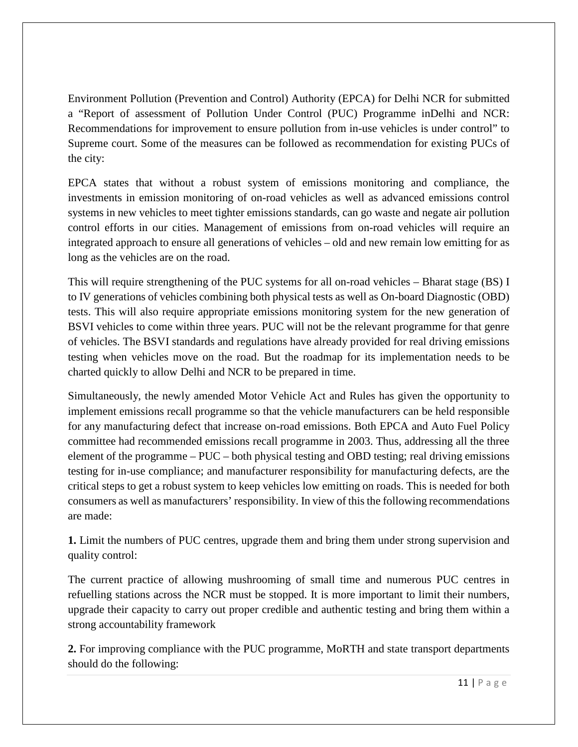Environment Pollution (Prevention and Control) Authority (EPCA) for Delhi NCR for submitted a "Report of assessment of Pollution Under Control (PUC) Programme inDelhi and NCR: Recommendations for improvement to ensure pollution from in-use vehicles is under control" to Supreme court. Some of the measures can be followed as recommendation for existing PUCs of the city:

EPCA states that without a robust system of emissions monitoring and compliance, the investments in emission monitoring of on-road vehicles as well as advanced emissions control systems in new vehicles to meet tighter emissions standards, can go waste and negate air pollution control efforts in our cities. Management of emissions from on-road vehicles will require an integrated approach to ensure all generations of vehicles – old and new remain low emitting for as long as the vehicles are on the road.

This will require strengthening of the PUC systems for all on-road vehicles – Bharat stage (BS) I to IV generations of vehicles combining both physical tests as well as On-board Diagnostic (OBD) tests. This will also require appropriate emissions monitoring system for the new generation of BSVI vehicles to come within three years. PUC will not be the relevant programme for that genre of vehicles. The BSVI standards and regulations have already provided for real driving emissions testing when vehicles move on the road. But the roadmap for its implementation needs to be charted quickly to allow Delhi and NCR to be prepared in time.

Simultaneously, the newly amended Motor Vehicle Act and Rules has given the opportunity to implement emissions recall programme so that the vehicle manufacturers can be held responsible for any manufacturing defect that increase on-road emissions. Both EPCA and Auto Fuel Policy committee had recommended emissions recall programme in 2003. Thus, addressing all the three element of the programme – PUC – both physical testing and OBD testing; real driving emissions testing for in-use compliance; and manufacturer responsibility for manufacturing defects, are the critical steps to get a robust system to keep vehicles low emitting on roads. This is needed for both consumers as well as manufacturers' responsibility. In view of this the following recommendations are made:

**1.** Limit the numbers of PUC centres, upgrade them and bring them under strong supervision and quality control:

The current practice of allowing mushrooming of small time and numerous PUC centres in refuelling stations across the NCR must be stopped. It is more important to limit their numbers, upgrade their capacity to carry out proper credible and authentic testing and bring them within a strong accountability framework

**2.** For improving compliance with the PUC programme, MoRTH and state transport departments should do the following: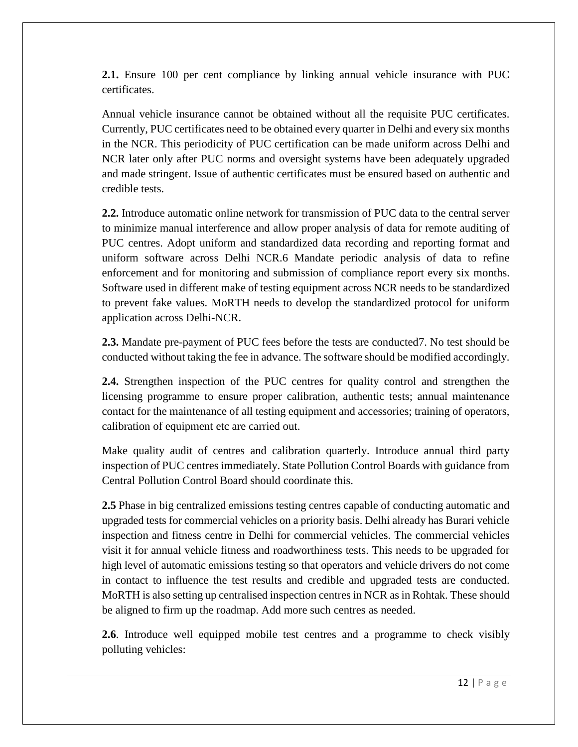**2.1.** Ensure 100 per cent compliance by linking annual vehicle insurance with PUC certificates.

Annual vehicle insurance cannot be obtained without all the requisite PUC certificates. Currently, PUC certificates need to be obtained every quarter in Delhi and every six months in the NCR. This periodicity of PUC certification can be made uniform across Delhi and NCR later only after PUC norms and oversight systems have been adequately upgraded and made stringent. Issue of authentic certificates must be ensured based on authentic and credible tests.

**2.2.** Introduce automatic online network for transmission of PUC data to the central server to minimize manual interference and allow proper analysis of data for remote auditing of PUC centres. Adopt uniform and standardized data recording and reporting format and uniform software across Delhi NCR.6 Mandate periodic analysis of data to refine enforcement and for monitoring and submission of compliance report every six months. Software used in different make of testing equipment across NCR needs to be standardized to prevent fake values. MoRTH needs to develop the standardized protocol for uniform application across Delhi-NCR.

**2.3.** Mandate pre-payment of PUC fees before the tests are conducted7. No test should be conducted without taking the fee in advance. The software should be modified accordingly.

**2.4.** Strengthen inspection of the PUC centres for quality control and strengthen the licensing programme to ensure proper calibration, authentic tests; annual maintenance contact for the maintenance of all testing equipment and accessories; training of operators, calibration of equipment etc are carried out.

Make quality audit of centres and calibration quarterly. Introduce annual third party inspection of PUC centres immediately. State Pollution Control Boards with guidance from Central Pollution Control Board should coordinate this.

**2.5** Phase in big centralized emissions testing centres capable of conducting automatic and upgraded tests for commercial vehicles on a priority basis. Delhi already has Burari vehicle inspection and fitness centre in Delhi for commercial vehicles. The commercial vehicles visit it for annual vehicle fitness and roadworthiness tests. This needs to be upgraded for high level of automatic emissions testing so that operators and vehicle drivers do not come in contact to influence the test results and credible and upgraded tests are conducted. MoRTH is also setting up centralised inspection centres in NCR as in Rohtak. These should be aligned to firm up the roadmap. Add more such centres as needed.

**2.6**. Introduce well equipped mobile test centres and a programme to check visibly polluting vehicles: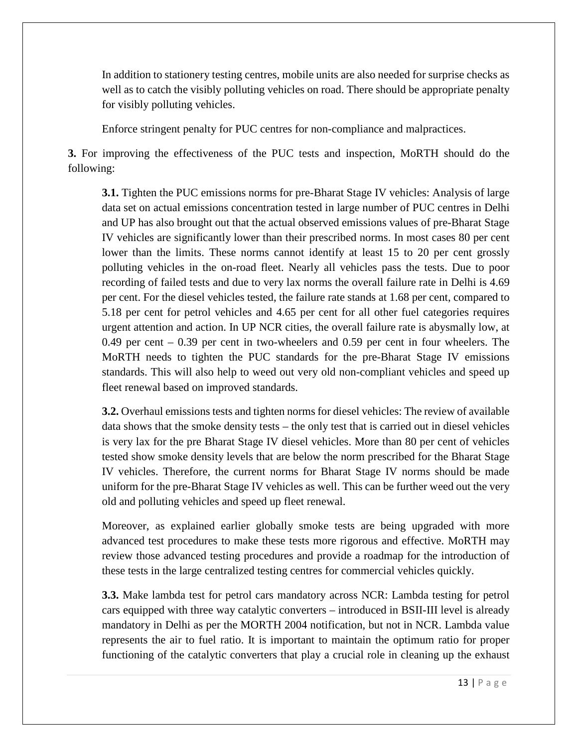In addition to stationery testing centres, mobile units are also needed for surprise checks as well as to catch the visibly polluting vehicles on road. There should be appropriate penalty for visibly polluting vehicles.

Enforce stringent penalty for PUC centres for non-compliance and malpractices.

**3.** For improving the effectiveness of the PUC tests and inspection, MoRTH should do the following:

**3.1.** Tighten the PUC emissions norms for pre-Bharat Stage IV vehicles: Analysis of large data set on actual emissions concentration tested in large number of PUC centres in Delhi and UP has also brought out that the actual observed emissions values of pre-Bharat Stage IV vehicles are significantly lower than their prescribed norms. In most cases 80 per cent lower than the limits. These norms cannot identify at least 15 to 20 per cent grossly polluting vehicles in the on-road fleet. Nearly all vehicles pass the tests. Due to poor recording of failed tests and due to very lax norms the overall failure rate in Delhi is 4.69 per cent. For the diesel vehicles tested, the failure rate stands at 1.68 per cent, compared to 5.18 per cent for petrol vehicles and 4.65 per cent for all other fuel categories requires urgent attention and action. In UP NCR cities, the overall failure rate is abysmally low, at 0.49 per cent – 0.39 per cent in two-wheelers and 0.59 per cent in four wheelers. The MoRTH needs to tighten the PUC standards for the pre-Bharat Stage IV emissions standards. This will also help to weed out very old non-compliant vehicles and speed up fleet renewal based on improved standards.

**3.2.** Overhaul emissions tests and tighten norms for diesel vehicles: The review of available data shows that the smoke density tests – the only test that is carried out in diesel vehicles is very lax for the pre Bharat Stage IV diesel vehicles. More than 80 per cent of vehicles tested show smoke density levels that are below the norm prescribed for the Bharat Stage IV vehicles. Therefore, the current norms for Bharat Stage IV norms should be made uniform for the pre-Bharat Stage IV vehicles as well. This can be further weed out the very old and polluting vehicles and speed up fleet renewal.

Moreover, as explained earlier globally smoke tests are being upgraded with more advanced test procedures to make these tests more rigorous and effective. MoRTH may review those advanced testing procedures and provide a roadmap for the introduction of these tests in the large centralized testing centres for commercial vehicles quickly.

**3.3.** Make lambda test for petrol cars mandatory across NCR: Lambda testing for petrol cars equipped with three way catalytic converters – introduced in BSII-III level is already mandatory in Delhi as per the MORTH 2004 notification, but not in NCR. Lambda value represents the air to fuel ratio. It is important to maintain the optimum ratio for proper functioning of the catalytic converters that play a crucial role in cleaning up the exhaust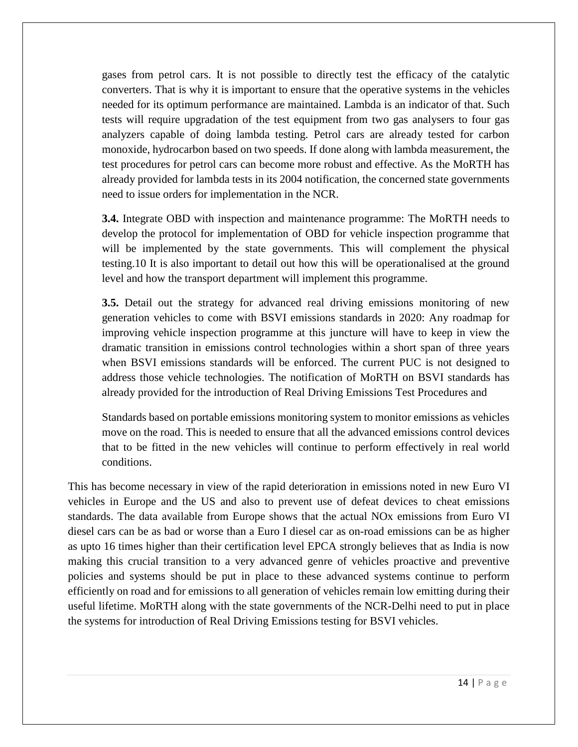gases from petrol cars. It is not possible to directly test the efficacy of the catalytic converters. That is why it is important to ensure that the operative systems in the vehicles needed for its optimum performance are maintained. Lambda is an indicator of that. Such tests will require upgradation of the test equipment from two gas analysers to four gas analyzers capable of doing lambda testing. Petrol cars are already tested for carbon monoxide, hydrocarbon based on two speeds. If done along with lambda measurement, the test procedures for petrol cars can become more robust and effective. As the MoRTH has already provided for lambda tests in its 2004 notification, the concerned state governments need to issue orders for implementation in the NCR.

**3.4.** Integrate OBD with inspection and maintenance programme: The MoRTH needs to develop the protocol for implementation of OBD for vehicle inspection programme that will be implemented by the state governments. This will complement the physical testing.10 It is also important to detail out how this will be operationalised at the ground level and how the transport department will implement this programme.

**3.5.** Detail out the strategy for advanced real driving emissions monitoring of new generation vehicles to come with BSVI emissions standards in 2020: Any roadmap for improving vehicle inspection programme at this juncture will have to keep in view the dramatic transition in emissions control technologies within a short span of three years when BSVI emissions standards will be enforced. The current PUC is not designed to address those vehicle technologies. The notification of MoRTH on BSVI standards has already provided for the introduction of Real Driving Emissions Test Procedures and

Standards based on portable emissions monitoring system to monitor emissions as vehicles move on the road. This is needed to ensure that all the advanced emissions control devices that to be fitted in the new vehicles will continue to perform effectively in real world conditions.

This has become necessary in view of the rapid deterioration in emissions noted in new Euro VI vehicles in Europe and the US and also to prevent use of defeat devices to cheat emissions standards. The data available from Europe shows that the actual NOx emissions from Euro VI diesel cars can be as bad or worse than a Euro I diesel car as on-road emissions can be as higher as upto 16 times higher than their certification level EPCA strongly believes that as India is now making this crucial transition to a very advanced genre of vehicles proactive and preventive policies and systems should be put in place to these advanced systems continue to perform efficiently on road and for emissions to all generation of vehicles remain low emitting during their useful lifetime. MoRTH along with the state governments of the NCR-Delhi need to put in place the systems for introduction of Real Driving Emissions testing for BSVI vehicles.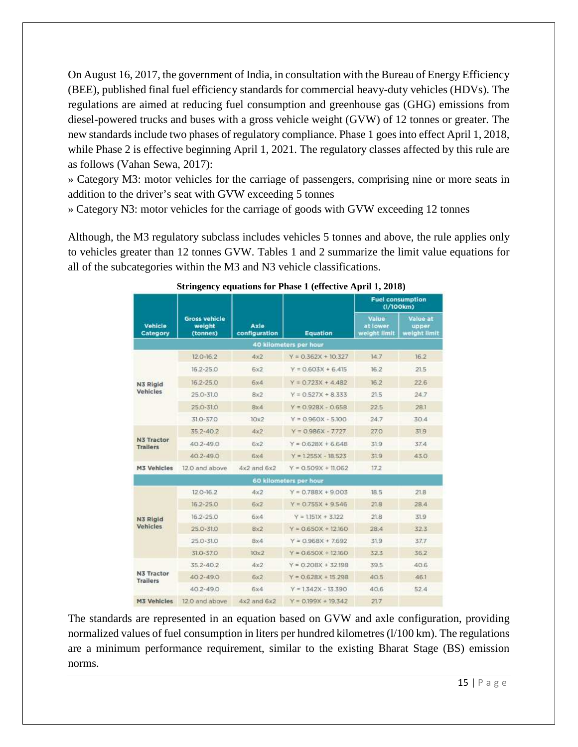On August 16, 2017, the government of India, in consultation with the Bureau of Energy Efficiency (BEE), published final fuel efficiency standards for commercial heavy-duty vehicles (HDVs). The regulations are aimed at reducing fuel consumption and greenhouse gas (GHG) emissions from diesel-powered trucks and buses with a gross vehicle weight (GVW) of 12 tonnes or greater. The new standards include two phases of regulatory compliance. Phase 1 goes into effect April 1, 2018, while Phase 2 is effective beginning April 1, 2021. The regulatory classes affected by this rule are as follows (Vahan Sewa, 2017):

» Category M3: motor vehicles for the carriage of passengers, comprising nine or more seats in addition to the driver's seat with GVW exceeding 5 tonnes

» Category N3: motor vehicles for the carriage of goods with GVW exceeding 12 tonnes

Although, the M3 regulatory subclass includes vehicles 5 tonnes and above, the rule applies only to vehicles greater than 12 tonnes GVW. Tables 1 and 2 summarize the limit value equations for all of the subcategories within the M3 and N3 vehicle classifications.

|                               |                                            |                       |                        | <b>Fuel consumption</b><br>(1/100km) |                                   |  |
|-------------------------------|--------------------------------------------|-----------------------|------------------------|--------------------------------------|-----------------------------------|--|
| Vehicle<br>Category           | <b>Gross vehicle</b><br>weight<br>(tonnes) | Axle<br>configuration | <b>Equation</b>        | Value<br>at lower<br>weight limit    | Value at<br>upper<br>weight limit |  |
|                               |                                            |                       | 40 kilometers per hour |                                      |                                   |  |
|                               | 12.0-16.2                                  | 4x2                   | $Y = 0.362X + 10.327$  | 14.7                                 | 16.2                              |  |
| N3 Rigid                      | $16.2 - 25.0$                              | 6x2                   | $Y = 0.603X + 6.415$   | 16.2                                 | 21.5                              |  |
|                               | $16.2 - 25.0$                              | 6x4                   | $Y = 0.723X + 4.482$   | 16.2                                 | 22.6                              |  |
| Vehicles                      | 25.0-31.0                                  | 8x2                   | $Y = 0.527X + 8.333$   | 21.5                                 | 24.7                              |  |
|                               | $25.0 - 31.0$                              | 8x4                   | $Y = 0.928X - 0.658$   | 22.5                                 | 281                               |  |
|                               | 31.0-37.0                                  | 10x2                  | $Y = 0.960X - 5.100$   | 24.7                                 | 30.4                              |  |
| N3 Tractor<br><b>Trailers</b> | 352-402                                    | 4x2                   | $Y = 0.986X - 7.727$   | 27.0                                 | 31.9                              |  |
|                               | $40.2 - 49.0$                              | 6x2                   | $Y = 0.628X + 6.648$   | 319                                  | 374                               |  |
|                               | $40.2 - 49.0$                              | 6x4                   | $Y = 1.255X - 18.523$  | 319                                  | 43.0                              |  |
| <b>M3 Vehicles</b>            | 12.0 and above                             | $4x2$ and $6x2$       | $Y = 0.509X + 11.062$  | 17.2                                 |                                   |  |
|                               |                                            |                       | 60 kilometers per hour |                                      |                                   |  |
|                               | $12.0 - 16.2$                              | 4x2                   | $Y = 0.788X + 9.003$   | 18.5                                 | 21.8                              |  |
|                               | $16.2 - 25.0$                              | 6x2                   | $Y = 0.755X + 9.546$   | 218                                  | 28.4                              |  |
| N3 Rigid                      | $16.2 - 25.0$                              | 6x4                   | $Y = 1.151X + 3.122$   | 21.8                                 | 31.9                              |  |
| Vehicles                      | $25.0 - 31.0$                              | 8x2                   | $Y = 0.650X + 12.160$  | 28:4                                 | 32.3                              |  |
|                               | $25.0 - 31.0$                              | 8x4                   | $Y = 0.968X + 7692$    | 31.9                                 | 37.7                              |  |
|                               | 31.0-37.0                                  | 10x2                  | $Y = 0.650X + 12.160$  | 32.3                                 | 362                               |  |
|                               | $352 - 40.2$                               | 4x2                   | $Y = 0.208X + 32.198$  | 39.5                                 | 40.6                              |  |
| N3 Tractor<br><b>Trailers</b> | $40.2 - 49.0$                              | 6x2                   | $Y = 0.628X + 15.298$  | 40.5                                 | 46.1                              |  |
|                               | $40.2 - 49.0$                              | 6x4                   | $Y = 1.342X - 13.390$  | 40.6                                 | 52.4                              |  |
| <b>M3 Vehicles</b>            | 12.0 and above                             | $4x2$ and $6x2$       | $Y = 0.199X + 19.342$  | 21.7                                 |                                   |  |

#### **Stringency equations for Phase 1 (effective April 1, 2018)**

The standards are represented in an equation based on GVW and axle configuration, providing normalized values of fuel consumption in liters per hundred kilometres (1/100 km). The regulations are a minimum performance requirement, similar to the existing Bharat Stage (BS) emission norms.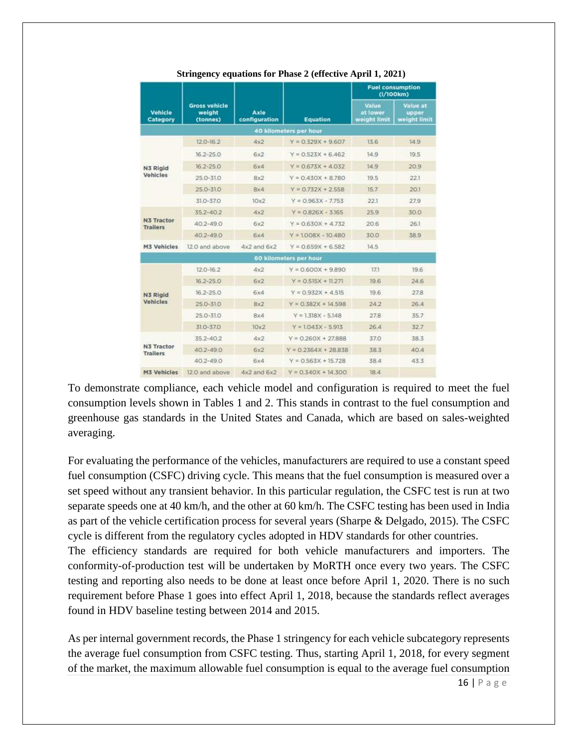|                               |                                            |                       |                        | <b>Fuel consumption</b><br>(I/100km) |                                          |
|-------------------------------|--------------------------------------------|-----------------------|------------------------|--------------------------------------|------------------------------------------|
| Vehicle<br>Category           | <b>Gross vehicle</b><br>weight<br>(tonnes) | Axle<br>configuration | <b>Equation</b>        | Value<br>at lower<br>weight limit    | <b>Value at</b><br>upper<br>weight limit |
|                               |                                            |                       | 40 kilometers per hour |                                      |                                          |
|                               | $12.0 - 16.2$                              | 4x2                   | $Y = 0.329X + 9.607$   | 13.6                                 | 14.9                                     |
|                               | $16.2 - 25.0$                              | 6x2                   | $Y = 0.523X + 6.462$   | 14.9                                 | 19.5                                     |
| N3 Rigid                      | $16.2 - 25.0$                              | 6x4                   | $Y = 0.673X + 4.032$   | 14.9                                 | 20.9                                     |
| Vehicles                      | $25.0 - 31.0$                              | 8x2                   | $Y = 0.430X + 8.780$   | 19.5                                 | 221                                      |
|                               | $25.0 - 31.0$                              | <b>Bx4</b>            | $Y = 0.732X + 2.558$   | 15.7                                 | 20.1                                     |
|                               | 31.0-37.0                                  | 10x2                  | $Y = 0.963X - 7.753$   | 221                                  | 27.9                                     |
| N3 Tractor<br><b>Trailers</b> | 35.2-40.2                                  | 4x2                   | $Y = 0.826X - 3.165$   | 25.9                                 | 30.0                                     |
|                               | $40.2 - 49.0$                              | 6x2                   | $Y = 0.630X + 4.732$   | 20.6                                 | 26.1                                     |
|                               | 40.2-49.0                                  | 6x4                   | $Y = 1008X - 10.480$   | 30.0                                 | 38.9                                     |
| <b>M3 Vehicles</b>            | 12.0 and above                             | $4x2$ and $6x2$       | $Y = 0.659X + 6.582$   | 14.5                                 |                                          |
|                               |                                            |                       | 60 kilometers per hour |                                      |                                          |
|                               | $12.0 - 16.2$                              | 4x2                   | $Y = 0.600X + 9.890$   | 17.1                                 | 19.6                                     |
|                               | $16.2 - 25.0$                              | 6x2                   | $Y = 0.515X + 11.271$  | 19.6                                 | 24.6                                     |
| N3 Rigid                      | $16.2 - 25.0$                              | 6x4                   | $Y = 0.932X + 4.515$   | 19.6                                 | 27.8                                     |
| Vehicles                      | $25.0 - 31.0$                              | 8x2                   | $Y = 0.382X + 14.598$  | 24.2                                 | 26.4                                     |
|                               | 25.0-31.0                                  | 8x4                   | $Y = 1.318X - 5.148$   | 27.8                                 | 35.7                                     |
|                               | 31.0-37.0                                  | 10x2                  | $Y = 1.043X - 5.913$   | 26.4                                 | 32.7                                     |
|                               | 35.2-40.2                                  | 4x2                   | $Y = 0.260X + 27.888$  | 37.0                                 | 38.3                                     |
| N3 Tractor<br><b>Trailers</b> | 40.2-49.0                                  | 6x2                   | $Y = 0.2364X + 28.838$ | 38.3                                 | 40.4                                     |
|                               | $40.2 - 49.0$                              | 6х4                   | $Y = 0.563X + 15.728$  | 38.4                                 | 43.3                                     |
| <b>M3 Vehicles</b>            | 12.0 and above                             | $4x2$ and $6x2$       | $Y = 0.340X + 14300$   | 18.4                                 |                                          |

 **Stringency equations for Phase 2 (effective April 1, 2021)**

To demonstrate compliance, each vehicle model and configuration is required to meet the fuel consumption levels shown in Tables 1 and 2. This stands in contrast to the fuel consumption and greenhouse gas standards in the United States and Canada, which are based on sales-weighted averaging.

For evaluating the performance of the vehicles, manufacturers are required to use a constant speed fuel consumption (CSFC) driving cycle. This means that the fuel consumption is measured over a set speed without any transient behavior. In this particular regulation, the CSFC test is run at two separate speeds one at 40 km/h, and the other at 60 km/h. The CSFC testing has been used in India as part of the vehicle certification process for several years (Sharpe & Delgado, 2015). The CSFC cycle is different from the regulatory cycles adopted in HDV standards for other countries.

The efficiency standards are required for both vehicle manufacturers and importers. The conformity-of-production test will be undertaken by MoRTH once every two years. The CSFC testing and reporting also needs to be done at least once before April 1, 2020. There is no such requirement before Phase 1 goes into effect April 1, 2018, because the standards reflect averages found in HDV baseline testing between 2014 and 2015.

As per internal government records, the Phase 1 stringency for each vehicle subcategory represents the average fuel consumption from CSFC testing. Thus, starting April 1, 2018, for every segment of the market, the maximum allowable fuel consumption is equal to the average fuel consumption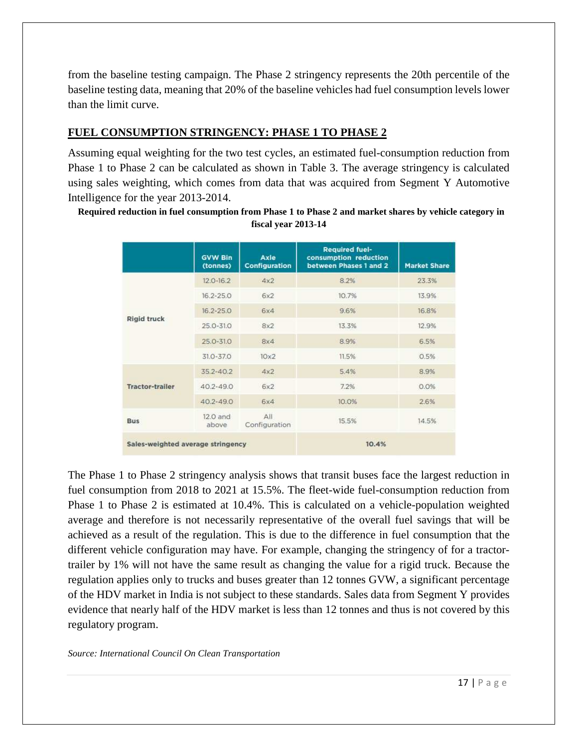from the baseline testing campaign. The Phase 2 stringency represents the 20th percentile of the baseline testing data, meaning that 20% of the baseline vehicles had fuel consumption levels lower than the limit curve.

#### **FUEL CONSUMPTION STRINGENCY: PHASE 1 TO PHASE 2**

Assuming equal weighting for the two test cycles, an estimated fuel-consumption reduction from Phase 1 to Phase 2 can be calculated as shown in Table 3. The average stringency is calculated using sales weighting, which comes from data that was acquired from Segment Y Automotive Intelligence for the year 2013-2014.

 **Required reduction in fuel consumption from Phase 1 to Phase 2 and market shares by vehicle category in fiscal year 2013-14** 

|                                   | <b>GVW Bin</b><br>(tonnes) | Axle<br><b>Configuration</b> | <b>Required fuel-</b><br>consumption reduction<br>between Phases 1 and 2 | <b>Market Share</b> |
|-----------------------------------|----------------------------|------------------------------|--------------------------------------------------------------------------|---------------------|
|                                   | $12.0 - 16.2$              | 4x2                          | 8.2%                                                                     | 23.3%               |
| <b>Rigid truck</b>                | $16.2 - 25.0$              | 6x2                          | 10.7%                                                                    | 13.9%               |
|                                   | $16.2 - 25.0$              | 6x4                          | 9.6%                                                                     | 16.8%               |
|                                   | 25.0-31.0                  | 8x2                          | 13.3%                                                                    | 12.9%               |
|                                   | 25.0-31.0                  | 8x4                          | 8.9%                                                                     | 6.5%                |
|                                   | $31.0 - 37.0$              | $10\times2$                  | 11.5%                                                                    | 0.5%                |
|                                   | 35.2-40.2                  | 4x2                          | 5.4%                                                                     | 8.9%                |
| <b>Tractor-trailer</b>            | $40.2 - 49.0$              | 6x2                          | 7.2%                                                                     | 0.0%                |
|                                   | 40.2-49.0                  | 6x4                          | 10.0%                                                                    | 2.6%                |
| <b>Bus</b>                        | 12.0 and<br>above          | $A$ II<br>Configuration      | 15.5%                                                                    | 14.5%               |
| Sales-weighted average stringency |                            |                              | 10.4%                                                                    |                     |

The Phase 1 to Phase 2 stringency analysis shows that transit buses face the largest reduction in fuel consumption from 2018 to 2021 at 15.5%. The fleet-wide fuel-consumption reduction from Phase 1 to Phase 2 is estimated at 10.4%. This is calculated on a vehicle-population weighted average and therefore is not necessarily representative of the overall fuel savings that will be achieved as a result of the regulation. This is due to the difference in fuel consumption that the different vehicle configuration may have. For example, changing the stringency of for a tractortrailer by 1% will not have the same result as changing the value for a rigid truck. Because the regulation applies only to trucks and buses greater than 12 tonnes GVW, a significant percentage of the HDV market in India is not subject to these standards. Sales data from Segment Y provides evidence that nearly half of the HDV market is less than 12 tonnes and thus is not covered by this regulatory program.

*Source: International Council On Clean Transportation*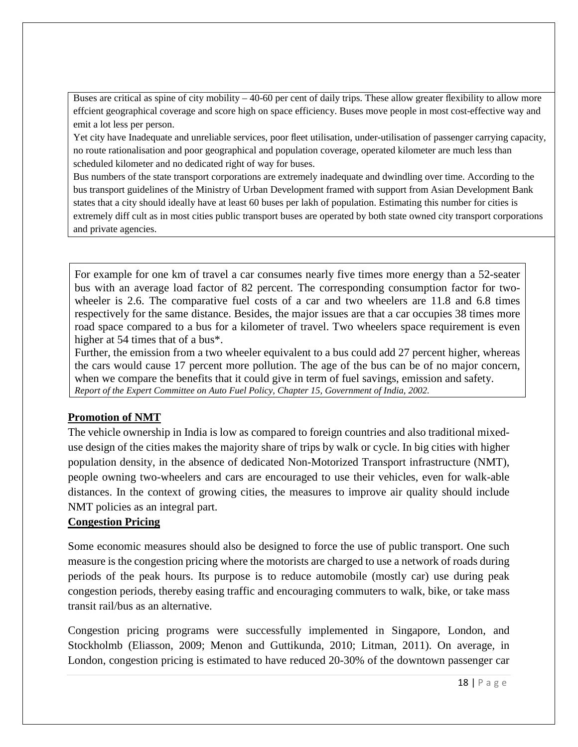Buses are critical as spine of city mobility – 40-60 per cent of daily trips. These allow greater flexibility to allow more effcient geographical coverage and score high on space efficiency. Buses move people in most cost-effective way and emit a lot less per person.

Yet city have Inadequate and unreliable services, poor fleet utilisation, under-utilisation of passenger carrying capacity, no route rationalisation and poor geographical and population coverage, operated kilometer are much less than scheduled kilometer and no dedicated right of way for buses.

Bus numbers of the state transport corporations are extremely inadequate and dwindling over time. According to the bus transport guidelines of the Ministry of Urban Development framed with support from Asian Development Bank states that a city should ideally have at least 60 buses per lakh of population. Estimating this number for cities is extremely diff cult as in most cities public transport buses are operated by both state owned city transport corporations and private agencies.

For example for one km of travel a car consumes nearly five times more energy than a 52-seater bus with an average load factor of 82 percent. The corresponding consumption factor for twowheeler is 2.6. The comparative fuel costs of a car and two wheelers are 11.8 and 6.8 times respectively for the same distance. Besides, the major issues are that a car occupies 38 times more road space compared to a bus for a kilometer of travel. Two wheelers space requirement is even higher at 54 times that of a bus<sup>\*</sup>.

Further, the emission from a two wheeler equivalent to a bus could add 27 percent higher, whereas the cars would cause 17 percent more pollution. The age of the bus can be of no major concern, when we compare the benefits that it could give in term of fuel savings, emission and safety. *Report of the Expert Committee on Auto Fuel Policy, Chapter 15, Government of India, 2002.* 

#### **Promotion of NMT**

The vehicle ownership in India is low as compared to foreign countries and also traditional mixeduse design of the cities makes the majority share of trips by walk or cycle. In big cities with higher population density, in the absence of dedicated Non-Motorized Transport infrastructure (NMT), people owning two-wheelers and cars are encouraged to use their vehicles, even for walk-able distances. In the context of growing cities, the measures to improve air quality should include NMT policies as an integral part.

#### **Congestion Pricing**

Some economic measures should also be designed to force the use of public transport. One such measure is the congestion pricing where the motorists are charged to use a network of roads during periods of the peak hours. Its purpose is to reduce automobile (mostly car) use during peak congestion periods, thereby easing traffic and encouraging commuters to walk, bike, or take mass transit rail/bus as an alternative.

Congestion pricing programs were successfully implemented in Singapore, London, and Stockholmb (Eliasson, 2009; Menon and Guttikunda, 2010; Litman, 2011). On average, in London, congestion pricing is estimated to have reduced 20-30% of the downtown passenger car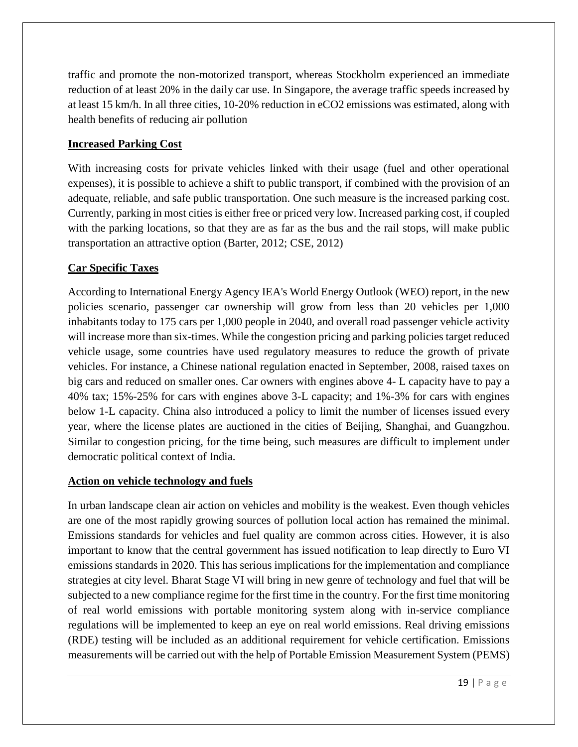traffic and promote the non-motorized transport, whereas Stockholm experienced an immediate reduction of at least 20% in the daily car use. In Singapore, the average traffic speeds increased by at least 15 km/h. In all three cities, 10-20% reduction in eCO2 emissions was estimated, along with health benefits of reducing air pollution

#### **Increased Parking Cost**

With increasing costs for private vehicles linked with their usage (fuel and other operational expenses), it is possible to achieve a shift to public transport, if combined with the provision of an adequate, reliable, and safe public transportation. One such measure is the increased parking cost. Currently, parking in most cities is either free or priced very low. Increased parking cost, if coupled with the parking locations, so that they are as far as the bus and the rail stops, will make public transportation an attractive option (Barter, 2012; CSE, 2012)

#### **Car Specific Taxes**

According to International Energy Agency IEA's World Energy Outlook (WEO) report, in the new policies scenario, passenger car ownership will grow from less than 20 vehicles per 1,000 inhabitants today to 175 cars per 1,000 people in 2040, and overall road passenger vehicle activity will increase more than six-times. While the congestion pricing and parking policies target reduced vehicle usage, some countries have used regulatory measures to reduce the growth of private vehicles. For instance, a Chinese national regulation enacted in September, 2008, raised taxes on big cars and reduced on smaller ones. Car owners with engines above 4- L capacity have to pay a 40% tax; 15%-25% for cars with engines above 3-L capacity; and 1%-3% for cars with engines below 1-L capacity. China also introduced a policy to limit the number of licenses issued every year, where the license plates are auctioned in the cities of Beijing, Shanghai, and Guangzhou. Similar to congestion pricing, for the time being, such measures are difficult to implement under democratic political context of India.

#### **Action on vehicle technology and fuels**

In urban landscape clean air action on vehicles and mobility is the weakest. Even though vehicles are one of the most rapidly growing sources of pollution local action has remained the minimal. Emissions standards for vehicles and fuel quality are common across cities. However, it is also important to know that the central government has issued notification to leap directly to Euro VI emissions standards in 2020. This has serious implications for the implementation and compliance strategies at city level. Bharat Stage VI will bring in new genre of technology and fuel that will be subjected to a new compliance regime for the first time in the country. For the first time monitoring of real world emissions with portable monitoring system along with in-service compliance regulations will be implemented to keep an eye on real world emissions. Real driving emissions (RDE) testing will be included as an additional requirement for vehicle certification. Emissions measurements will be carried out with the help of Portable Emission Measurement System (PEMS)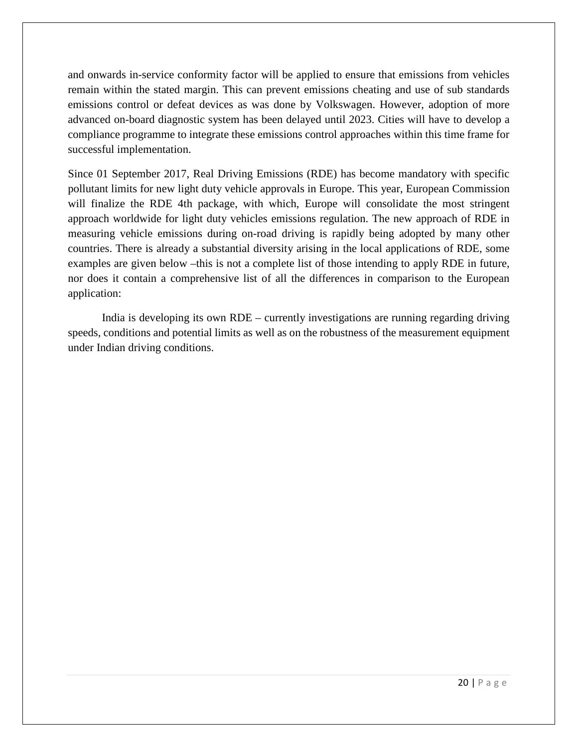and onwards in-service conformity factor will be applied to ensure that emissions from vehicles remain within the stated margin. This can prevent emissions cheating and use of sub standards emissions control or defeat devices as was done by Volkswagen. However, adoption of more advanced on-board diagnostic system has been delayed until 2023. Cities will have to develop a compliance programme to integrate these emissions control approaches within this time frame for successful implementation.

Since 01 September 2017, Real Driving Emissions (RDE) has become mandatory with specific pollutant limits for new light duty vehicle approvals in Europe. This year, European Commission will finalize the RDE 4th package, with which, Europe will consolidate the most stringent approach worldwide for light duty vehicles emissions regulation. The new approach of RDE in measuring vehicle emissions during on-road driving is rapidly being adopted by many other countries. There is already a substantial diversity arising in the local applications of RDE, some examples are given below –this is not a complete list of those intending to apply RDE in future, nor does it contain a comprehensive list of all the differences in comparison to the European application:

India is developing its own RDE – currently investigations are running regarding driving speeds, conditions and potential limits as well as on the robustness of the measurement equipment under Indian driving conditions.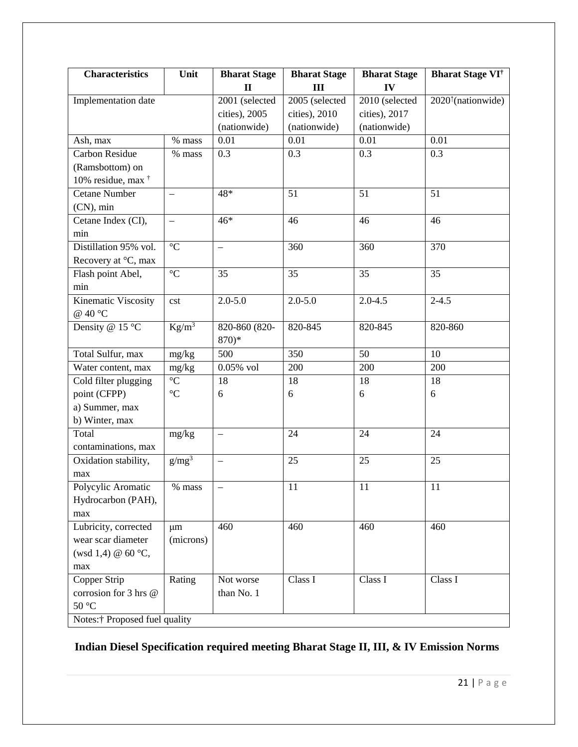| <b>Characteristics</b>        | Unit                     | <b>Bharat Stage</b>      | <b>Bharat Stage</b> | <b>Bharat Stage</b> | <b>Bharat Stage VI</b> <sup>†</sup>                |
|-------------------------------|--------------------------|--------------------------|---------------------|---------------------|----------------------------------------------------|
|                               |                          | $\mathbf{I}$             | III                 | IV                  |                                                    |
| Implementation date           |                          | 2001 (selected           | $2005$ (selected    | 2010 (selected      | 2020 <sup><math>\uparrow</math></sup> (nationwide) |
|                               |                          | cities), 2005            | cities), 2010       | cities), 2017       |                                                    |
|                               |                          | (nationwide)             | (nationwide)        | (nationwide)        |                                                    |
| Ash, max                      | % mass                   | 0.01                     | 0.01                | 0.01                | 0.01                                               |
| Carbon Residue                | % mass                   | 0.3                      | 0.3                 | 0.3                 | 0.3                                                |
| (Ramsbottom) on               |                          |                          |                     |                     |                                                    |
| 10% residue, max <sup>†</sup> |                          |                          |                     |                     |                                                    |
| <b>Cetane Number</b>          | $\qquad \qquad -$        | 48*                      | 51                  | 51                  | 51                                                 |
| $(CN)$ , min                  |                          |                          |                     |                     |                                                    |
| Cetane Index (CI),            | $\overline{\phantom{0}}$ | $46*$                    | 46                  | 46                  | 46                                                 |
| min                           |                          |                          |                     |                     |                                                    |
| Distillation 95% vol.         | $\rm ^{\circ}C$          | $\overline{\phantom{0}}$ | 360                 | 360                 | 370                                                |
| Recovery at °C, max           |                          |                          |                     |                     |                                                    |
| Flash point Abel,             | $\rm ^{\circ}C$          | 35                       | 35                  | 35                  | 35                                                 |
| min                           |                          |                          |                     |                     |                                                    |
| Kinematic Viscosity           | cst                      | $2.0 - 5.0$              | $2.0 - 5.0$         | $2.0 - 4.5$         | $2 - 4.5$                                          |
| @ 40 $^{\circ}$ C             |                          |                          |                     |                     |                                                    |
| Density @ 15 °C               | $Kg/m^3$                 | 820-860 (820-            | 820-845             | 820-845             | 820-860                                            |
|                               |                          | $870)*$                  |                     |                     |                                                    |
| Total Sulfur, max             | mg/kg                    | 500                      | 350                 | 50                  | 10                                                 |
| Water content, max            | mg/kg                    | $0.05\%$ vol             | 200                 | 200                 | 200                                                |
| Cold filter plugging          | $\rm ^{\circ}C$          | 18                       | 18                  | 18                  | 18                                                 |
| point (CFPP)                  | $\rm ^{\circ}C$          | 6                        | $\boldsymbol{6}$    | 6                   | 6                                                  |
| a) Summer, max                |                          |                          |                     |                     |                                                    |
| b) Winter, max                |                          |                          |                     |                     |                                                    |
| Total                         | mg/kg                    | $\overline{\phantom{0}}$ | 24                  | 24                  | 24                                                 |
| contaminations, max           |                          |                          |                     |                     |                                                    |
| Oxidation stability,          | g/mg <sup>3</sup>        | $\overline{\phantom{0}}$ | 25                  | 25                  | 25                                                 |
| max                           |                          |                          |                     |                     |                                                    |
| Polycylic Aromatic            | % mass                   |                          | 11                  | 11                  | 11                                                 |
| Hydrocarbon (PAH),            |                          |                          |                     |                     |                                                    |
| max                           |                          |                          |                     |                     |                                                    |
| Lubricity, corrected          | $\mu$ m                  | 460                      | 460                 | 460                 | 460                                                |
| wear scar diameter            | (microns)                |                          |                     |                     |                                                    |
| (wsd 1,4) @ $60 °C$ ,         |                          |                          |                     |                     |                                                    |
| max                           |                          |                          |                     |                     |                                                    |
| Copper Strip                  | Rating                   | Not worse                | Class I             | Class I             | Class I                                            |
| corrosion for 3 hrs @         |                          | than No. 1               |                     |                     |                                                    |
| $50\,^{\circ}\mathrm{C}$      |                          |                          |                     |                     |                                                    |
| Notes:† Proposed fuel quality |                          |                          |                     |                     |                                                    |

#### **Indian Diesel Specification required meeting Bharat Stage II, III, & IV Emission Norms**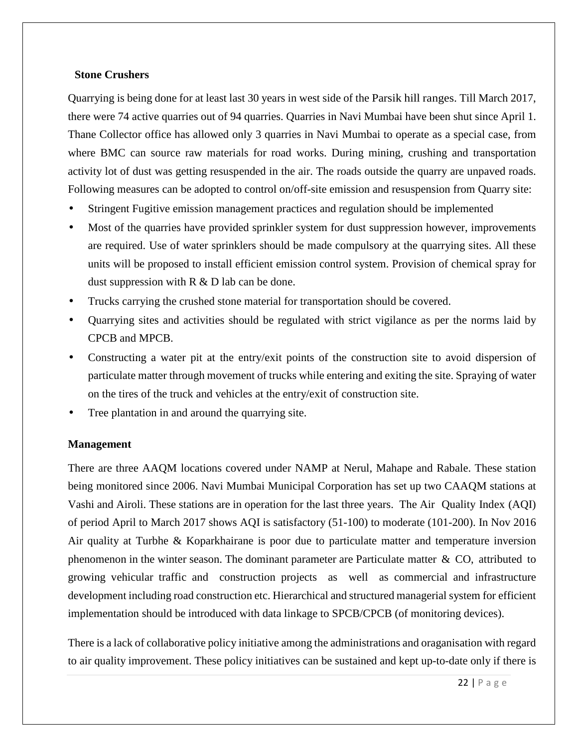#### **Stone Crushers**

Quarrying is being done for at least last 30 years in west side of the Parsik hill ranges. Till March 2017, there were 74 active quarries out of 94 quarries. Quarries in Navi Mumbai have been shut since April 1. Thane Collector office has allowed only 3 quarries in Navi Mumbai to operate as a special case, from where BMC can source raw materials for road works. During mining, crushing and transportation activity lot of dust was getting resuspended in the air. The roads outside the quarry are unpaved roads. Following measures can be adopted to control on/off-site emission and resuspension from Quarry site:

- Stringent Fugitive emission management practices and regulation should be implemented
- Most of the quarries have provided sprinkler system for dust suppression however, improvements are required. Use of water sprinklers should be made compulsory at the quarrying sites. All these units will be proposed to install efficient emission control system. Provision of chemical spray for dust suppression with R & D lab can be done.
- Trucks carrying the crushed stone material for transportation should be covered.
- Quarrying sites and activities should be regulated with strict vigilance as per the norms laid by CPCB and MPCB.
- Constructing a water pit at the entry/exit points of the construction site to avoid dispersion of particulate matter through movement of trucks while entering and exiting the site. Spraying of water on the tires of the truck and vehicles at the entry/exit of construction site.
- Tree plantation in and around the quarrying site.

#### **Management**

There are three AAQM locations covered under NAMP at Nerul, Mahape and Rabale. These station being monitored since 2006. Navi Mumbai Municipal Corporation has set up two CAAQM stations at Vashi and Airoli. These stations are in operation for the last three years. The Air Quality Index (AQI) of period April to March 2017 shows AQI is satisfactory (51-100) to moderate (101-200). In Nov 2016 Air quality at Turbhe & Koparkhairane is poor due to particulate matter and temperature inversion phenomenon in the winter season. The dominant parameter are Particulate matter & CO, attributed to growing vehicular traffic and construction projects as well as commercial and infrastructure development including road construction etc. Hierarchical and structured managerial system for efficient implementation should be introduced with data linkage to SPCB/CPCB (of monitoring devices).

There is a lack of collaborative policy initiative among the administrations and oraganisation with regard to air quality improvement. These policy initiatives can be sustained and kept up-to-date only if there is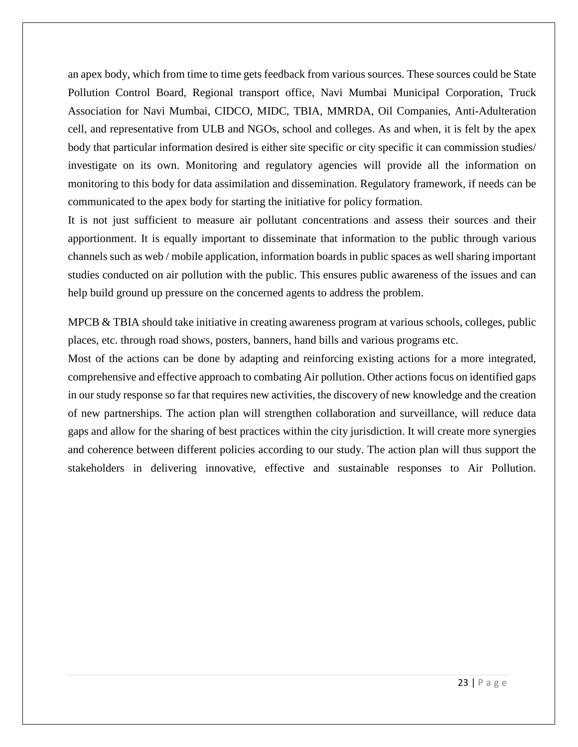an apex body, which from time to time gets feedback from various sources. These sources could be State Pollution Control Board, Regional transport office, Navi Mumbai Municipal Corporation, Truck Association for Navi Mumbai, CIDCO, MIDC, TBIA, MMRDA, Oil Companies, Anti-Adulteration cell, and representative from ULB and NGOs, school and colleges. As and when, it is felt by the apex body that particular information desired is either site specific or city specific it can commission studies/ investigate on its own. Monitoring and regulatory agencies will provide all the information on monitoring to this body for data assimilation and dissemination. Regulatory framework, if needs can be communicated to the apex body for starting the initiative for policy formation.

It is not just sufficient to measure air pollutant concentrations and assess their sources and their apportionment. It is equally important to disseminate that information to the public through various channels such as web / mobile application, information boards in public spaces as well sharing important studies conducted on air pollution with the public. This ensures public awareness of the issues and can help build ground up pressure on the concerned agents to address the problem.

MPCB & TBIA should take initiative in creating awareness program at various schools, colleges, public places, etc. through road shows, posters, banners, hand bills and various programs etc.

Most of the actions can be done by adapting and reinforcing existing actions for a more integrated, comprehensive and effective approach to combating Air pollution. Other actions focus on identified gaps in our study response so far that requires new activities, the discovery of new knowledge and the creation of new partnerships. The action plan will strengthen collaboration and surveillance, will reduce data gaps and allow for the sharing of best practices within the city jurisdiction. It will create more synergies and coherence between different policies according to our study. The action plan will thus support the stakeholders in delivering innovative, effective and sustainable responses to Air Pollution.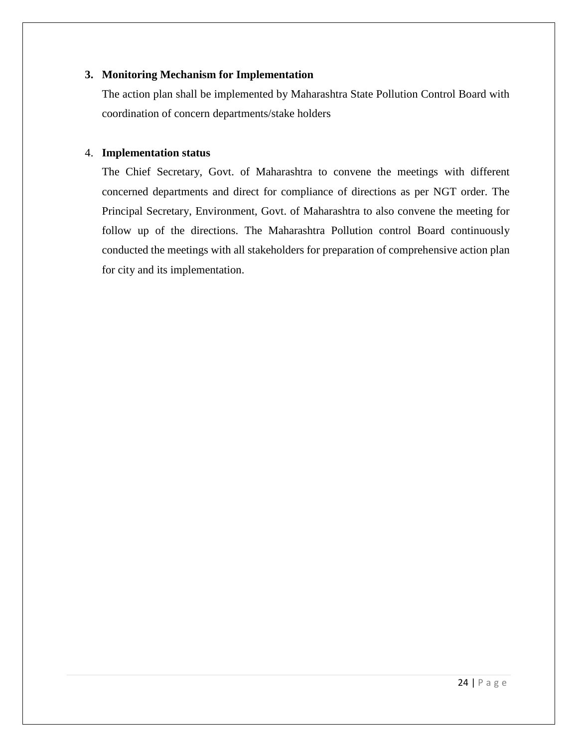#### **3. Monitoring Mechanism for Implementation**

The action plan shall be implemented by Maharashtra State Pollution Control Board with coordination of concern departments/stake holders

#### 4. **Implementation status**

The Chief Secretary, Govt. of Maharashtra to convene the meetings with different concerned departments and direct for compliance of directions as per NGT order. The Principal Secretary, Environment, Govt. of Maharashtra to also convene the meeting for follow up of the directions. The Maharashtra Pollution control Board continuously conducted the meetings with all stakeholders for preparation of comprehensive action plan for city and its implementation.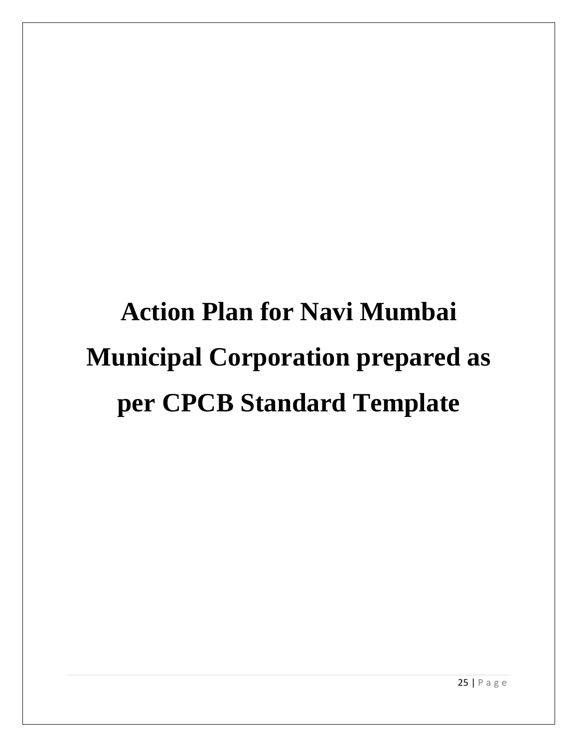# **Action Plan for Navi Mumbai Municipal Corporation prepared as per CPCB Standard Template**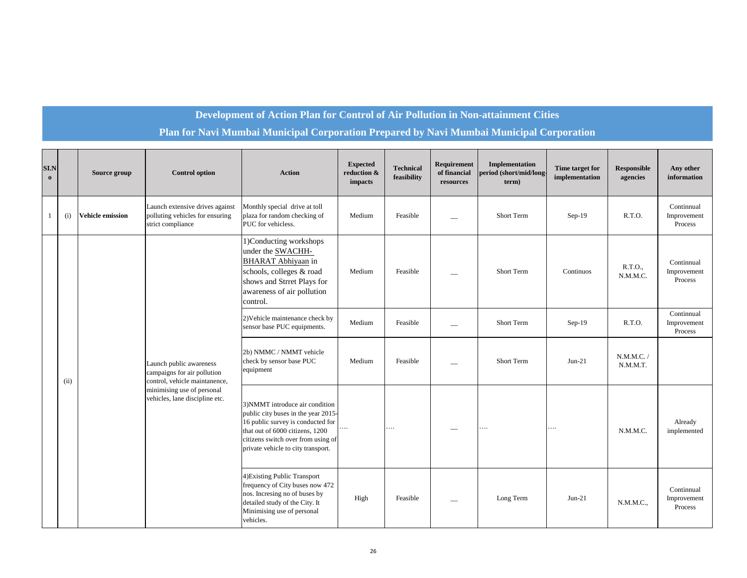#### **Development of Action Plan for Control of Air Pollution in Non-attainment Cities**

#### **Plan for Navi Mumbai Municipal Corporation Prepared by Navi Mumbai Municipal Corporation**

| SI.N<br>$\mathbf{o}$ |      | Source group            | <b>Control option</b>                                                                   | <b>Action</b>                                                                                                                                                                                                              | <b>Expected</b><br>reduction &<br>impacts | <b>Technical</b><br>feasibility | Requirement<br>of financial<br>resources | Implementation<br>period (short/mid/long-<br>term) | Time target for<br>implementation | <b>Responsible</b><br>agencies | Any other<br>information             |
|----------------------|------|-------------------------|-----------------------------------------------------------------------------------------|----------------------------------------------------------------------------------------------------------------------------------------------------------------------------------------------------------------------------|-------------------------------------------|---------------------------------|------------------------------------------|----------------------------------------------------|-----------------------------------|--------------------------------|--------------------------------------|
| $\mathbf{1}$         | (i)  | <b>Vehicle emission</b> | Launch extensive drives against<br>polluting vehicles for ensuring<br>strict compliance | Monthly special drive at toll<br>plaza for random checking of<br>PUC for vehicless.                                                                                                                                        | Medium                                    | Feasible                        |                                          | Short Term                                         | $Sep-19$                          | R.T.O.                         | Continnual<br>Improvement<br>Process |
|                      |      |                         |                                                                                         | 1) Conducting workshops<br>under the <b>SWACHH-</b><br><b>BHARAT</b> Abhiyaan in<br>schools, colleges & road<br>shows and Strret Plays for<br>awareness of air pollution<br>control.                                       | Medium                                    | Feasible                        |                                          | Short Term                                         | Continuos                         | R.T.O.,<br>N.M.M.C.            | Continnual<br>Improvement<br>Process |
|                      |      |                         |                                                                                         | 2) Vehicle maintenance check by<br>sensor base PUC equipments.                                                                                                                                                             | Medium                                    | Feasible                        |                                          | Short Term                                         | $Sep-19$                          | R.T.O.                         | Continnual<br>Improvement<br>Process |
|                      | (ii) |                         | Launch public awareness<br>campaigns for air pollution<br>control, vehicle maintanence, | 2b) NMMC / NMMT vehicle<br>check by sensor base PUC<br>equipment                                                                                                                                                           | Medium                                    | Feasible                        |                                          | Short Term                                         | $Jun-21$                          | N.M.M.C.<br>N.M.M.T.           |                                      |
|                      |      |                         | minimising use of personal<br>vehicles, lane discipline etc.                            | 3) NMMT introduce air condition<br>public city buses in the year 2015-<br>16 public survey is conducted for<br>that out of 6000 citizens, 1200<br>citizens switch over from using of<br>private vehicle to city transport. | $\ldots$                                  | $\cdots$                        |                                          | .                                                  | .                                 | N.M.M.C.                       | Already<br>implemented               |
|                      |      |                         |                                                                                         | 4) Existing Public Transport<br>frequency of City buses now 472<br>nos. Incresing no of buses by<br>detailed study of the City. It<br>Minimising use of personal<br>vehicles.                                              | High                                      | Feasible                        |                                          | Long Term                                          | $Jun-21$                          | N.M.M.C.,                      | Continnual<br>Improvement<br>Process |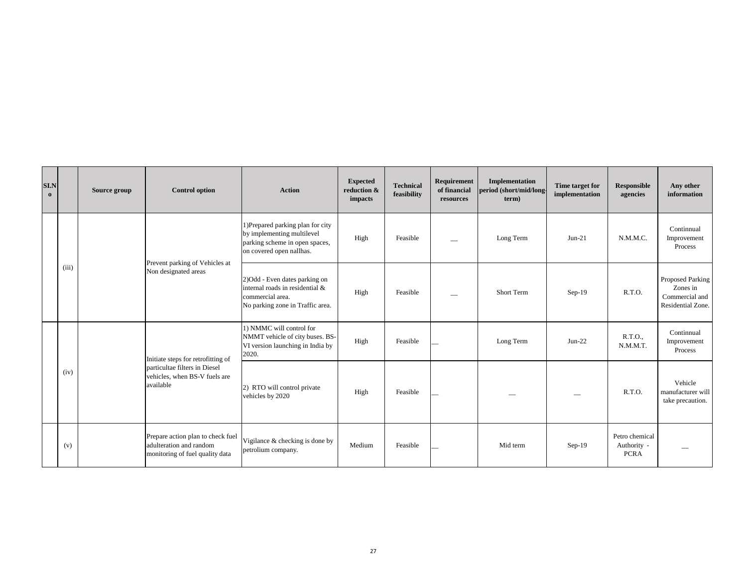| <b>SI.N</b><br>$\mathbf{o}$ |       | Source group | <b>Control option</b>                                                                           | <b>Action</b>                                                                                                                 | <b>Expected</b><br>reduction &<br>impacts | <b>Technical</b><br>feasibility | Requirement<br>of financial<br>resources | Implementation<br>period (short/mid/long<br>term) | Time target for<br>implementation | Responsible<br>agencies                      | Any other<br>information                                            |
|-----------------------------|-------|--------------|-------------------------------------------------------------------------------------------------|-------------------------------------------------------------------------------------------------------------------------------|-------------------------------------------|---------------------------------|------------------------------------------|---------------------------------------------------|-----------------------------------|----------------------------------------------|---------------------------------------------------------------------|
|                             |       |              | Prevent parking of Vehicles at                                                                  | 1) Prepared parking plan for city<br>by implementing multilevel<br>parking scheme in open spaces,<br>on covered open nallhas. | High                                      | Feasible                        |                                          | Long Term                                         | $Jun-21$                          | N.M.M.C.                                     | Continnual<br>Improvement<br>Process                                |
|                             | (iii) |              | Non designated areas                                                                            | 2)Odd - Even dates parking on<br>internal roads in residential &<br>commercial area.<br>No parking zone in Traffic area.      | High                                      | Feasible                        |                                          | Short Term                                        | $Sep-19$                          | R.T.O.                                       | Proposed Parking<br>Zones in<br>Commercial and<br>Residential Zone. |
|                             |       |              | Initiate steps for retrofitting of                                                              | 1) NMMC will control for<br>NMMT vehicle of city buses. BS-<br>VI version launching in India by<br>2020.                      | High                                      | Feasible                        |                                          | Long Term                                         | $Jun-22$                          | R.T.O.,<br>N.M.M.T.                          | Continnual<br>Improvement<br>Process                                |
|                             | (iv)  |              | particultae filters in Diesel<br>vehicles, when BS-V fuels are<br>available                     | 2) RTO will control private<br>vehicles by 2020                                                                               | High                                      | Feasible                        |                                          |                                                   | -                                 | R.T.O.                                       | Vehicle<br>manufacturer will<br>take precaution.                    |
|                             | (v)   |              | Prepare action plan to check fuel<br>adulteration and random<br>monitoring of fuel quality data | Vigilance & checking is done by<br>petrolium company.                                                                         | Medium                                    | Feasible                        |                                          | Mid term                                          | $Sep-19$                          | Petro chemical<br>Authority -<br><b>PCRA</b> |                                                                     |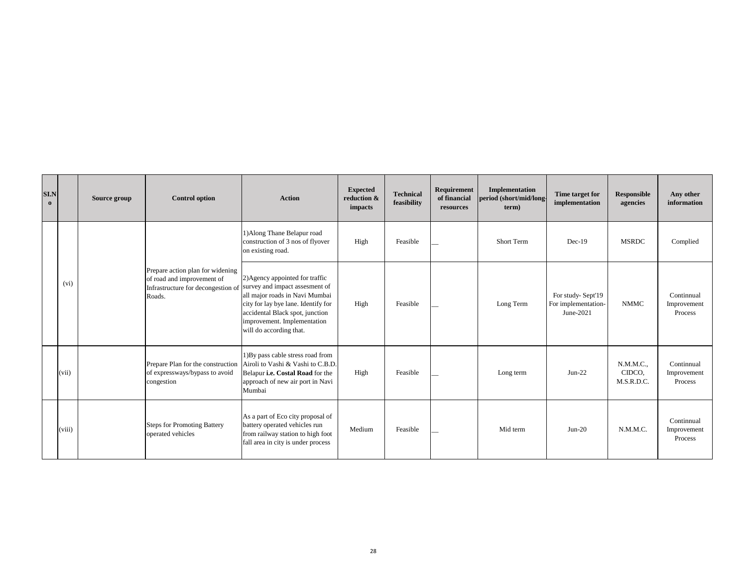| SI.N<br>$\Omega$ |        | Source group | <b>Control option</b>                                                                                          | <b>Action</b>                                                                                                                                                                                                                           | <b>Expected</b><br>reduction &<br>impacts | <b>Technical</b><br>feasibility | Requirement<br>of financial<br>resources | Implementation<br>period (short/mid/long<br>term) | Time target for<br>implementation                     | Responsible<br>agencies           | Any other<br>information             |
|------------------|--------|--------------|----------------------------------------------------------------------------------------------------------------|-----------------------------------------------------------------------------------------------------------------------------------------------------------------------------------------------------------------------------------------|-------------------------------------------|---------------------------------|------------------------------------------|---------------------------------------------------|-------------------------------------------------------|-----------------------------------|--------------------------------------|
|                  |        |              |                                                                                                                | 1) Along Thane Belapur road<br>construction of 3 nos of flyover<br>on existing road.                                                                                                                                                    | High                                      | Feasible                        |                                          | Short Term                                        | $Dec-19$                                              | <b>MSRDC</b>                      | Complied                             |
|                  | (vi)   |              | Prepare action plan for widening<br>of road and improvement of<br>Infrastructure for decongestion of<br>Roads. | 2) Agency appointed for traffic<br>survey and impact assesment of<br>all major roads in Navi Mumbai<br>city for lay bye lane. Identify for<br>accidental Black spot, junction<br>improvement. Implementation<br>will do according that. | High                                      | Feasible                        |                                          | Long Term                                         | For study-Sept'19<br>For implementation-<br>June-2021 | <b>NMMC</b>                       | Continnual<br>Improvement<br>Process |
|                  | (vii)  |              | Prepare Plan for the construction<br>of expressways/bypass to avoid<br>congestion                              | 1) By pass cable stress road from<br>Airoli to Vashi & Vashi to C.B.D.<br>Belapur i.e. Costal Road for the<br>approach of new air port in Navi<br>Mumbai                                                                                | High                                      | Feasible                        |                                          | Long term                                         | $Jun-22$                                              | N.M.M.C.,<br>CIDCO,<br>M.S.R.D.C. | Continnual<br>Improvement<br>Process |
|                  | (viii) |              | <b>Steps for Promoting Battery</b><br>operated vehicles                                                        | As a part of Eco city proposal of<br>battery operated vehicles run<br>from railway station to high foot<br>fall area in city is under process                                                                                           | Medium                                    | Feasible                        |                                          | Mid term                                          | $Jun-20$                                              | N.M.M.C.                          | Continnual<br>Improvement<br>Process |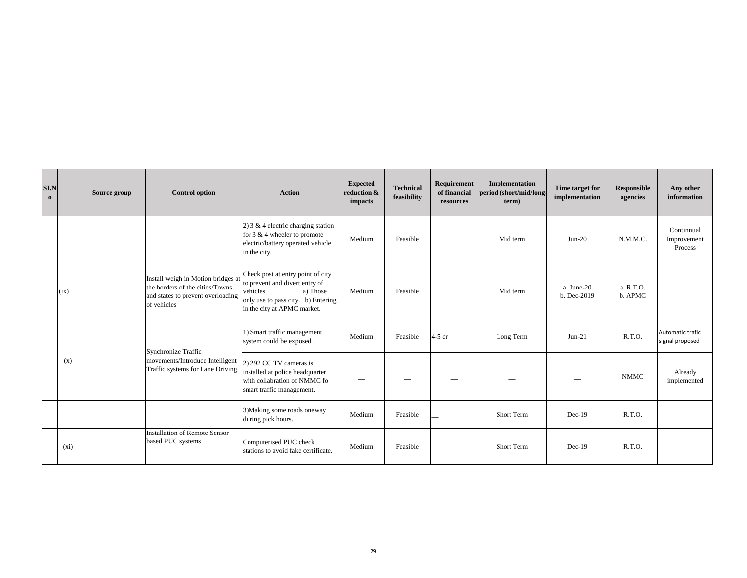| <b>SI.N</b><br>$\mathbf{o}$ |         | Source group | <b>Control option</b>                                                                                                     | <b>Action</b>                                                                                                                                                    | <b>Expected</b><br>reduction &<br>impacts | <b>Technical</b><br>feasibility | Requirement<br>of financial<br>resources | Implementation<br>period (short/mid/long-<br>term) | Time target for<br>implementation | <b>Responsible</b><br>agencies | Any other<br>information             |
|-----------------------------|---------|--------------|---------------------------------------------------------------------------------------------------------------------------|------------------------------------------------------------------------------------------------------------------------------------------------------------------|-------------------------------------------|---------------------------------|------------------------------------------|----------------------------------------------------|-----------------------------------|--------------------------------|--------------------------------------|
|                             |         |              |                                                                                                                           | 2) $3 & 4$ electric charging station<br>for 3 & 4 wheeler to promote<br>electric/battery operated vehicle<br>in the city.                                        | Medium                                    | Feasible                        |                                          | Mid term                                           | $Jun-20$                          | N.M.M.C.                       | Continnual<br>Improvement<br>Process |
|                             | (ix)    |              | Install weigh in Motion bridges at<br>the borders of the cities/Towns<br>and states to prevent overloading<br>of vehicles | Check post at entry point of city<br>to prevent and divert entry of<br>vehicles<br>a) Those<br>only use to pass city. b) Entering<br>in the city at APMC market. | Medium                                    | Feasible                        |                                          | Mid term                                           | a. June-20<br>b. Dec-2019         | a. R.T.O.<br>b. APMC           |                                      |
|                             |         |              | Synchronize Traffic                                                                                                       | 1) Smart traffic management<br>system could be exposed.                                                                                                          | Medium                                    | Feasible                        | $4-5$ cr                                 | Long Term                                          | $Jun-21$                          | R.T.O.                         | Automatic trafic<br>signal proposed  |
|                             | (x)     |              | movements/Introduce Intelligent<br>Traffic systems for Lane Driving                                                       | 2) 292 CC TV cameras is<br>installed at police headquarter<br>with collabration of NMMC fo<br>smart traffic management.                                          |                                           |                                 |                                          |                                                    |                                   | <b>NMMC</b>                    | Already<br>implemented               |
|                             |         |              |                                                                                                                           | 3) Making some roads oneway<br>during pick hours.                                                                                                                | Medium                                    | Feasible                        |                                          | Short Term                                         | $Dec-19$                          | R.T.O.                         |                                      |
|                             | $(x_i)$ |              | Installation of Remote Sensor<br>based PUC systems                                                                        | Computerised PUC check<br>stations to avoid fake certificate.                                                                                                    | Medium                                    | Feasible                        |                                          | Short Term                                         | $Dec-19$                          | R.T.O.                         |                                      |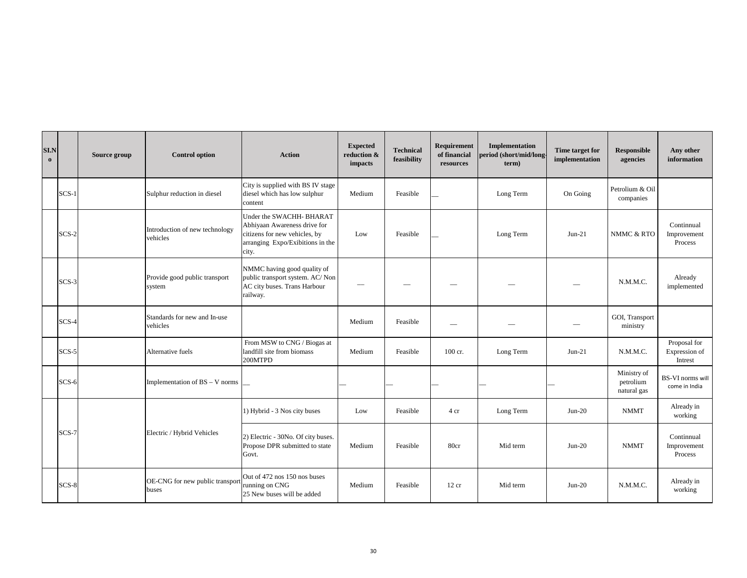| <b>SI.N</b><br>$\bf{0}$ |         | Source group | <b>Control option</b>                      | <b>Action</b>                                                                                                                          | <b>Expected</b><br>reduction &<br>impacts | <b>Technical</b><br>feasibility | Requirement<br>of financial<br>resources | Implementation<br>period (short/mid/long<br>term) | Time target for<br>implementation | <b>Responsible</b><br>agencies          | Any other<br>information                 |
|-------------------------|---------|--------------|--------------------------------------------|----------------------------------------------------------------------------------------------------------------------------------------|-------------------------------------------|---------------------------------|------------------------------------------|---------------------------------------------------|-----------------------------------|-----------------------------------------|------------------------------------------|
|                         | $SCS-1$ |              | Sulphur reduction in diesel                | City is supplied with BS IV stage<br>diesel which has low sulphur<br>content                                                           | Medium                                    | Feasible                        |                                          | Long Term                                         | On Going                          | Petrolium & Oil<br>companies            |                                          |
|                         | $SCS-2$ |              | Introduction of new technology<br>vehicles | Under the SWACHH- BHARAT<br>Abhiyaan Awareness drive for<br>citizens for new vehicles, by<br>arranging Expo/Exibitions in the<br>city. | Low                                       | Feasible                        |                                          | Long Term                                         | $Jun-21$                          | NMMC & RTO                              | Continnual<br>Improvement<br>Process     |
|                         | $SCS-3$ |              | Provide good public transport<br>system    | NMMC having good quality of<br>public transport system. AC/ Non<br>AC city buses. Trans Harbour<br>railway.                            | --                                        |                                 |                                          |                                                   |                                   | N.M.M.C.                                | Already<br>implemented                   |
|                         | $SCS-4$ |              | Standards for new and In-use<br>vehicles   |                                                                                                                                        | Medium                                    | Feasible                        |                                          |                                                   | --                                | GOI, Transport<br>ministry              |                                          |
|                         | $SCS-5$ |              | Alternative fuels                          | From MSW to CNG / Biogas at<br>landfill site from biomass<br>200MTPD                                                                   | Medium                                    | Feasible                        | 100 cr.                                  | Long Term                                         | $Jun-21$                          | N.M.M.C.                                | Proposal for<br>Expression of<br>Intrest |
|                         | $SCS-6$ |              | Implementation of BS - V norms             |                                                                                                                                        |                                           |                                 |                                          |                                                   |                                   | Ministry of<br>petrolium<br>natural gas | <b>BS-VI</b> norms will<br>come in India |
|                         |         |              |                                            | 1) Hybrid - 3 Nos city buses                                                                                                           | Low                                       | Feasible                        | 4 cr                                     | Long Term                                         | $Jun-20$                          | <b>NMMT</b>                             | Already in<br>working                    |
|                         | $SCS-7$ |              | Electric / Hybrid Vehicles                 | 2) Electric - 30No. Of city buses.<br>Propose DPR submitted to state<br>Govt.                                                          | Medium                                    | Feasible                        | 80cr                                     | Mid term                                          | $Jun-20$                          | <b>NMMT</b>                             | Continnual<br>Improvement<br>Process     |
|                         | SCS-8   |              | OE-CNG for new public transport<br>buses   | Out of 472 nos 150 nos buses<br>running on CNG<br>25 New buses will be added                                                           | Medium                                    | Feasible                        | 12 cr                                    | Mid term                                          | $Jun-20$                          | N.M.M.C.                                | Already in<br>working                    |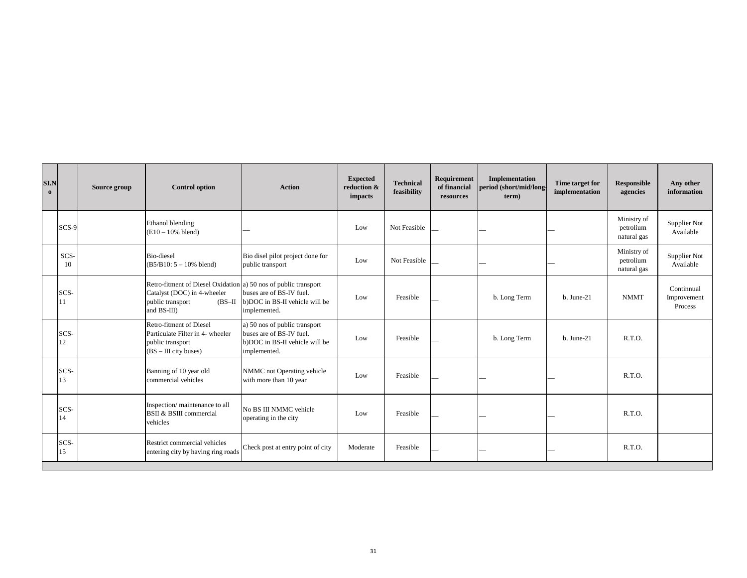| <b>SI.N</b><br>$\mathbf{0}$ |            | Source group | <b>Control option</b>                                                                                                                          | <b>Action</b>                                                                                               | <b>Expected</b><br>reduction &<br>impacts | <b>Technical</b><br>feasibility | Requirement<br>of financial<br>resources | <b>Implementation</b><br>period (short/mid/long<br>term) | Time target for<br>implementation | <b>Responsible</b><br>agencies          | Any other<br>information             |
|-----------------------------|------------|--------------|------------------------------------------------------------------------------------------------------------------------------------------------|-------------------------------------------------------------------------------------------------------------|-------------------------------------------|---------------------------------|------------------------------------------|----------------------------------------------------------|-----------------------------------|-----------------------------------------|--------------------------------------|
|                             | SCS-9      |              | Ethanol blending<br>$(E10 - 10\%$ blend)                                                                                                       |                                                                                                             | Low                                       | Not Feasible                    |                                          |                                                          |                                   | Ministry of<br>petrolium<br>natural gas | Supplier Not<br>Available            |
|                             | SCS-<br>10 |              | <b>Bio-diesel</b><br>$(B5/B10: 5 - 10\%$ blend)                                                                                                | Bio disel pilot project done for<br>public transport                                                        | Low                                       | Not Feasible                    |                                          |                                                          |                                   | Ministry of<br>petrolium<br>natural gas | Supplier Not<br>Available            |
|                             | SCS-<br>11 |              | Retro-fitment of Diesel Oxidation a) 50 nos of public transport<br>Catalyst (DOC) in 4-wheeler<br>public transport<br>$(BS-II)$<br>and BS-III) | buses are of BS-IV fuel.<br>b)DOC in BS-II vehicle will be<br>implemented.                                  | Low                                       | Feasible                        |                                          | b. Long Term                                             | $b. June-21$                      | <b>NMMT</b>                             | Continnual<br>Improvement<br>Process |
|                             | SCS-<br>12 |              | Retro-fitment of Diesel<br>Particulate Filter in 4- wheeler<br>public transport<br>$(BS – III$ city buses)                                     | a) 50 nos of public transport<br>buses are of BS-IV fuel.<br>b)DOC in BS-II vehicle will be<br>implemented. | Low                                       | Feasible                        |                                          | b. Long Term                                             | $b. June-21$                      | R.T.O.                                  |                                      |
|                             | SCS-<br>13 |              | Banning of 10 year old<br>commercial vehicles                                                                                                  | NMMC not Operating vehicle<br>with more than 10 year                                                        | Low                                       | Feasible                        |                                          |                                                          |                                   | R.T.O.                                  |                                      |
|                             | SCS-<br>14 |              | Inspection/maintenance to all<br><b>BSII &amp; BSIII</b> commercial<br>vehicles                                                                | No BS III NMMC vehicle<br>operating in the city                                                             | Low                                       | Feasible                        |                                          |                                                          |                                   | R.T.O.                                  |                                      |
|                             | SCS-<br>15 |              | Restrict commercial vehicles<br>entering city by having ring roads                                                                             | Check post at entry point of city                                                                           | Moderate                                  | Feasible                        |                                          |                                                          |                                   | R.T.O.                                  |                                      |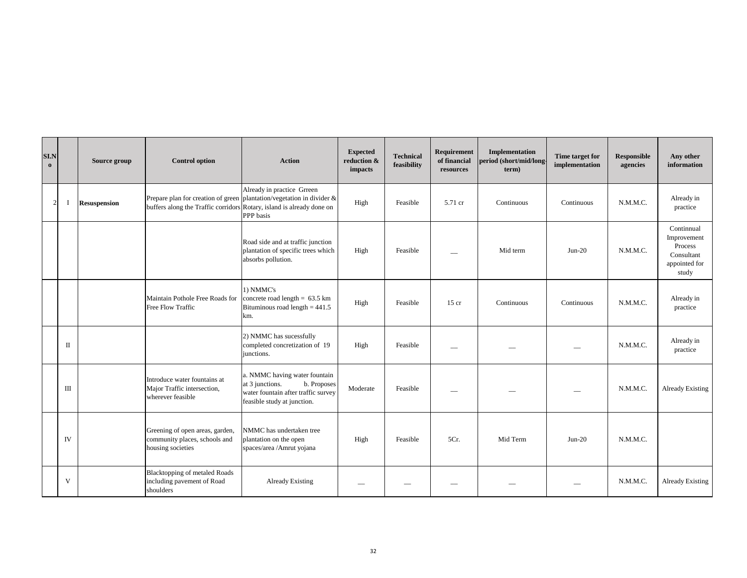| SI.N<br>$\mathbf{o}$ |                | Source group        | <b>Control option</b>                                                                 | <b>Action</b>                                                                                                                                            | <b>Expected</b><br>reduction &<br>impacts | <b>Technical</b><br>feasibility | Requirement<br>of financial<br>resources | Implementation<br>period (short/mid/long<br>term) | Time target for<br>implementation | Responsible<br>agencies | Any other<br>information                                                     |
|----------------------|----------------|---------------------|---------------------------------------------------------------------------------------|----------------------------------------------------------------------------------------------------------------------------------------------------------|-------------------------------------------|---------------------------------|------------------------------------------|---------------------------------------------------|-----------------------------------|-------------------------|------------------------------------------------------------------------------|
|                      | $\overline{2}$ | <b>Resuspension</b> | buffers along the Traffic corridors                                                   | Already in practice Grreen<br>Prepare plan for creation of green plantation/vegetation in divider $\&$<br>Rotary, island is already done on<br>PPP basis | High                                      | Feasible                        | 5.71 cr                                  | Continuous                                        | Continuous                        | N.M.M.C.                | Already in<br>practice                                                       |
|                      |                |                     |                                                                                       | Road side and at traffic junction<br>plantation of specific trees which<br>absorbs pollution.                                                            | High                                      | Feasible                        |                                          | Mid term                                          | $Jun-20$                          | N.M.M.C.                | Continnual<br>Improvement<br>Process<br>Consultant<br>appointed for<br>study |
|                      |                |                     | Maintain Pothole Free Roads for<br>Free Flow Traffic                                  | 1) NMMC's<br>concrete road length = $63.5 \text{ km}$<br>Bituminous road length $= 441.5$<br>km.                                                         | High                                      | Feasible                        | $15$ cr                                  | Continuous                                        | Continuous                        | N.M.M.C.                | Already in<br>practice                                                       |
|                      | $\mathbf{I}$   |                     |                                                                                       | 2) NMMC has sucessfully<br>completed concretization of 19<br>junctions.                                                                                  | High                                      | Feasible                        |                                          |                                                   |                                   | N.M.M.C.                | Already in<br>practice                                                       |
|                      | Ш              |                     | Introduce water fountains at<br>Major Traffic intersection,<br>wherever feasible      | a. NMMC having water fountain<br>at 3 junctions.<br>b. Proposes<br>water fountain after traffic survey<br>feasible study at junction.                    | Moderate                                  | Feasible                        |                                          |                                                   |                                   | N.M.M.C.                | Already Existing                                                             |
|                      | IV             |                     | Greening of open areas, garden,<br>community places, schools and<br>housing societies | NMMC has undertaken tree<br>plantation on the open<br>spaces/area /Amrut yojana                                                                          | High                                      | Feasible                        | 5Cr.                                     | Mid Term                                          | $Jun-20$                          | N.M.M.C.                |                                                                              |
|                      | V              |                     | <b>Blacktopping of metaled Roads</b><br>including pavement of Road<br>shoulders       | <b>Already Existing</b>                                                                                                                                  |                                           |                                 |                                          |                                                   |                                   | N.M.M.C.                | <b>Already Existing</b>                                                      |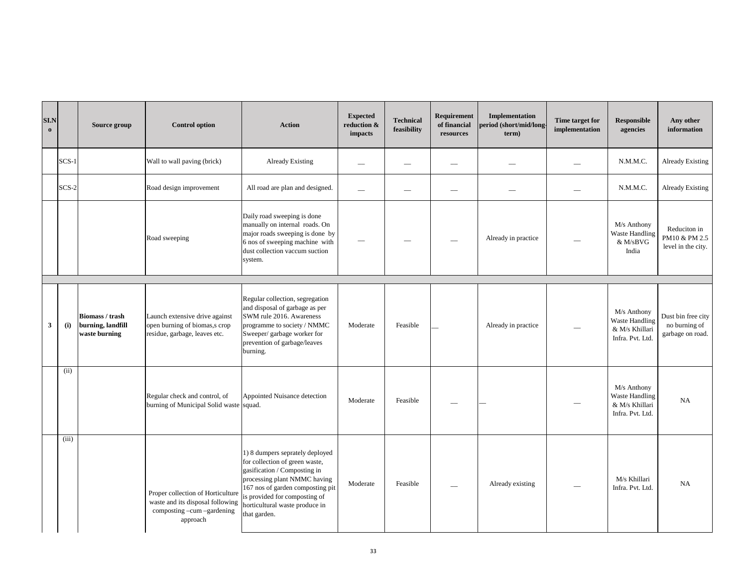| SI.N<br>$\bf{0}$ |         | Source group                                                 | <b>Control option</b>                                                                                           | <b>Action</b>                                                                                                                                                                                                                                            | <b>Expected</b><br>reduction &<br>impacts | <b>Technical</b><br>feasibility | Requirement<br>of financial<br>resources | Implementation<br>period (short/mid/long-<br>term) | Time target for<br>implementation | <b>Responsible</b><br>agencies                                             | Any other<br>information                                |
|------------------|---------|--------------------------------------------------------------|-----------------------------------------------------------------------------------------------------------------|----------------------------------------------------------------------------------------------------------------------------------------------------------------------------------------------------------------------------------------------------------|-------------------------------------------|---------------------------------|------------------------------------------|----------------------------------------------------|-----------------------------------|----------------------------------------------------------------------------|---------------------------------------------------------|
|                  | $SCS-1$ |                                                              | Wall to wall paving (brick)                                                                                     | <b>Already Existing</b>                                                                                                                                                                                                                                  | --                                        |                                 |                                          |                                                    |                                   | N.M.M.C.                                                                   | Already Existing                                        |
|                  | $SCS-2$ |                                                              | Road design improvement                                                                                         | All road are plan and designed.                                                                                                                                                                                                                          | $\overline{\phantom{0}}$                  |                                 |                                          |                                                    |                                   | N.M.M.C.                                                                   | Already Existing                                        |
|                  |         |                                                              | Road sweeping                                                                                                   | Daily road sweeping is done<br>manually on internal roads. On<br>major roads sweeping is done by<br>6 nos of sweeping machine with<br>dust collection vaccum suction<br>system.                                                                          |                                           |                                 |                                          | Already in practice                                |                                   | M/s Anthony<br>Waste Handling<br>& M/sBVG<br>India                         | Reduciton in<br>PM10 & PM 2.5<br>level in the city.     |
|                  |         |                                                              |                                                                                                                 |                                                                                                                                                                                                                                                          |                                           |                                 |                                          |                                                    |                                   |                                                                            |                                                         |
| 3                | (i)     | <b>Biomass / trash</b><br>burning, landfill<br>waste burning | Launch extensive drive against<br>open burning of biomas, s crop<br>residue, garbage, leaves etc.               | Regular collection, segregation<br>and disposal of garbage as per<br>SWM rule 2016. Awareness<br>programme to society / NMMC<br>Sweeper/ garbage worker for<br>prevention of garbage/leaves<br>burning.                                                  | Moderate                                  | Feasible                        |                                          | Already in practice                                |                                   | M/s Anthony<br>Waste Handling<br>& M/s Khillari<br>Infra. Pvt. Ltd.        | Dust bin free city<br>no burning of<br>garbage on road. |
|                  | (ii)    |                                                              | Regular check and control, of<br>burning of Municipal Solid waste                                               | Appointed Nuisance detection<br>squad.                                                                                                                                                                                                                   | Moderate                                  | Feasible                        |                                          |                                                    |                                   | M/s Anthony<br><b>Waste Handling</b><br>& M/s Khillari<br>Infra. Pvt. Ltd. | <b>NA</b>                                               |
|                  | (iii)   |                                                              | Proper collection of Horticulture<br>waste and its disposal following<br>composting -cum -gardening<br>approach | 1) 8 dumpers seprately deployed<br>for collection of green waste,<br>gasification / Composting in<br>processing plant NMMC having<br>167 nos of garden composting pit<br>is provided for composting of<br>horticultural waste produce in<br>that garden. | Moderate                                  | Feasible                        |                                          | Already existing                                   |                                   | M/s Khillari<br>Infra. Pvt. Ltd.                                           | NA                                                      |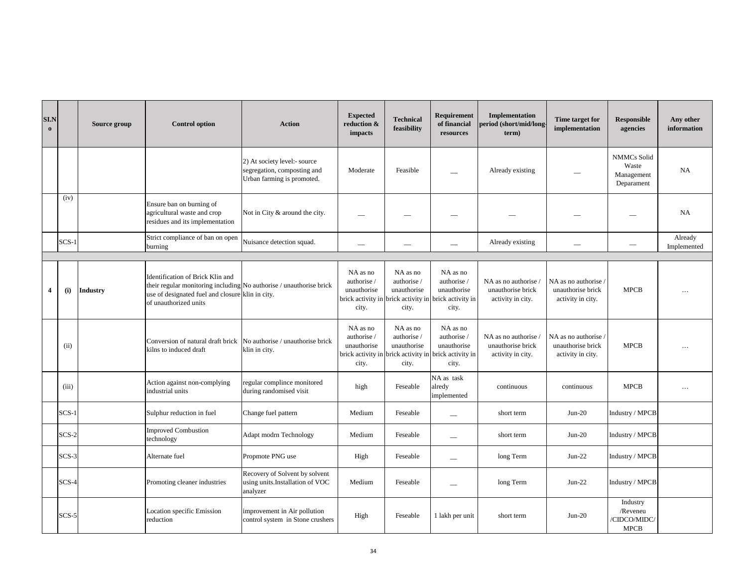| SI.N<br>$\mathbf 0$ |         | Source group    | <b>Control option</b>                                                                                                                                                                | <b>Action</b>                                                                             | <b>Expected</b><br>reduction &<br>impacts       | Technical<br>feasibility                        | Requirement<br>of financial<br>resources                                                                 | <b>Implementation</b><br>period (short/mid/long<br>term)       | Time target for<br>implementation                            | <b>Responsible</b><br>agencies                          | Any other<br>information |
|---------------------|---------|-----------------|--------------------------------------------------------------------------------------------------------------------------------------------------------------------------------------|-------------------------------------------------------------------------------------------|-------------------------------------------------|-------------------------------------------------|----------------------------------------------------------------------------------------------------------|----------------------------------------------------------------|--------------------------------------------------------------|---------------------------------------------------------|--------------------------|
|                     |         |                 |                                                                                                                                                                                      | 2) At society level:- source<br>segregation, composting and<br>Urban farming is promoted. | Moderate                                        | Feasible                                        |                                                                                                          | Already existing                                               |                                                              | <b>NMMCs Solid</b><br>Waste<br>Management<br>Deparament | <b>NA</b>                |
|                     | (iv)    |                 | Ensure ban on burning of<br>agricultural waste and crop<br>residues and its implementation                                                                                           | Not in City & around the city.                                                            | --                                              |                                                 |                                                                                                          |                                                                |                                                              |                                                         | <b>NA</b>                |
|                     | $SCS-1$ |                 | Strict compliance of ban on open<br>burning                                                                                                                                          | Nuisance detection squad.                                                                 |                                                 |                                                 |                                                                                                          | Already existing                                               |                                                              |                                                         | Already<br>Implemented   |
|                     |         |                 |                                                                                                                                                                                      |                                                                                           |                                                 |                                                 |                                                                                                          |                                                                |                                                              |                                                         |                          |
| $\overline{4}$      | (i)     | <b>Industry</b> | Identification of Brick Klin and<br>their regular monitoring including No authorise / unauthorise brick<br>use of designated fuel and closure klin in city.<br>of unauthorized units |                                                                                           | NA as no<br>authorise /<br>unauthorise<br>city. | NA as no<br>authorise /<br>unauthorise<br>city. | NA as no<br>authorise /<br>unauthorise<br>brick activity in brick activity in brick activity in<br>city. | NA as no authorise /<br>unauthorise brick<br>activity in city. | NA as no authorise<br>unauthorise brick<br>activity in city. | <b>MPCB</b>                                             | $\cdots$                 |
|                     | (ii)    |                 | Conversion of natural draft brick<br>kilns to induced draft                                                                                                                          | No authorise / unauthorise brick<br>klin in city.                                         | NA as no<br>authorise /<br>unauthorise<br>city. | NA as no<br>authorise /<br>unauthorise<br>city. | NA as no<br>authorise /<br>unauthorise<br>brick activity in brick activity in brick activity in<br>city. | NA as no authorise /<br>unauthorise brick<br>activity in city. | NA as no authorise<br>unauthorise brick<br>activity in city. | <b>MPCB</b>                                             | $\cdots$                 |
|                     | (iii)   |                 | Action against non-complying<br>industrial units                                                                                                                                     | regular complince monitored<br>during randomised visit                                    | high                                            | Feseable                                        | NA as task<br>alredy<br>implemented                                                                      | continuous                                                     | continuous                                                   | <b>MPCB</b>                                             | $\cdots$                 |
|                     | $SCS-1$ |                 | Sulphur reduction in fuel                                                                                                                                                            | Change fuel pattern                                                                       | Medium                                          | Feseable                                        | $\overline{\phantom{0}}$                                                                                 | short term                                                     | $Jun-20$                                                     | Industry / MPCB                                         |                          |
|                     | $SCS-2$ |                 | <b>Improved Combustion</b><br>technology                                                                                                                                             | Adapt modrn Technology                                                                    | Medium                                          | Feseable                                        |                                                                                                          | short term                                                     | $Jun-20$                                                     | Industry / MPCB                                         |                          |
|                     | $SCS-3$ |                 | Alternate fuel                                                                                                                                                                       | Propmote PNG use                                                                          | High                                            | Feseable                                        |                                                                                                          | long Term                                                      | $Jun-22$                                                     | Industry / MPCB                                         |                          |
|                     | $SCS-4$ |                 | Promoting cleaner industries                                                                                                                                                         | Recovery of Solvent by solvent<br>using units.Installation of VOC<br>analyzer             | Medium                                          | Feseable                                        | $\overline{\phantom{0}}$                                                                                 | long Term                                                      | $Jun-22$                                                     | Industry / MPCB                                         |                          |
|                     | $SCS-5$ |                 | Location specific Emission<br>reduction                                                                                                                                              | improvement in Air pollution<br>control system in Stone crushers                          | High                                            | Feseable                                        | 1 lakh per unit                                                                                          | short term                                                     | $Jun-20$                                                     | Industry<br>/Reveneu<br>'CIDCO/MIDC/<br><b>MPCB</b>     |                          |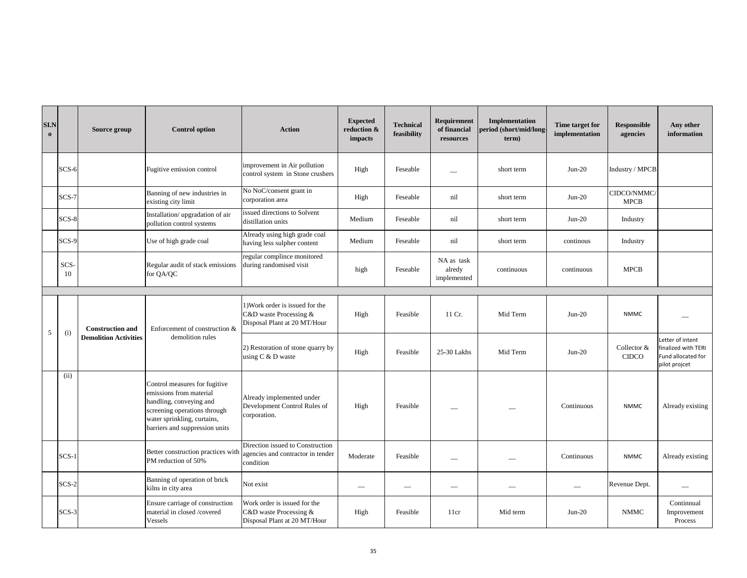| SI.N<br>$\mathbf 0$ |            | Source group                 | <b>Control option</b>                                                                                                                                                                | <b>Action</b>                                                                             | <b>Expected</b><br>reduction &<br>impacts | <b>Technical</b><br>feasibility | Requirement<br>of financial<br>resources | Implementation<br>period (short/mid/long<br>term) | Time target for<br>implementation | Responsible<br>agencies     | Any other<br>information                                                       |
|---------------------|------------|------------------------------|--------------------------------------------------------------------------------------------------------------------------------------------------------------------------------------|-------------------------------------------------------------------------------------------|-------------------------------------------|---------------------------------|------------------------------------------|---------------------------------------------------|-----------------------------------|-----------------------------|--------------------------------------------------------------------------------|
|                     | SCS-6      |                              | Fugitive emission control                                                                                                                                                            | improvement in Air pollution<br>control system in Stone crushers                          | High                                      | Feseable                        |                                          | short term                                        | $Jun-20$                          | Industry / MPCB             |                                                                                |
|                     | $SCS-7$    |                              | Banning of new industries in<br>existing city limit                                                                                                                                  | No NoC/consent grant in<br>corporation area                                               | High                                      | Feseable                        | nil                                      | short term                                        | $Jun-20$                          | CIDCO/NMMC/<br><b>MPCB</b>  |                                                                                |
|                     | $SCS-8$    |                              | Installation/upgradation of air<br>pollution control systems                                                                                                                         | ssued directions to Solvent<br>distillation units                                         | Medium                                    | Feseable                        | nil                                      | short term                                        | $Jun-20$                          | Industry                    |                                                                                |
|                     | SCS-9      |                              | Use of high grade coal                                                                                                                                                               | Already using high grade coal<br>having less sulpher content                              | Medium                                    | Feseable                        | nil                                      | short term                                        | continous                         | Industry                    |                                                                                |
|                     | SCS-<br>10 |                              | Regular audit of stack emissions<br>for QA/QC                                                                                                                                        | regular complince monitored<br>during randomised visit                                    | high                                      | Feseable                        | NA as task<br>alredy<br>implemented      | continuous                                        | continuous                        | <b>MPCB</b>                 |                                                                                |
|                     |            |                              |                                                                                                                                                                                      |                                                                                           |                                           |                                 |                                          |                                                   |                                   |                             |                                                                                |
|                     |            | <b>Construction and</b>      | Enforcement of construction &                                                                                                                                                        | 1) Work order is issued for the<br>C&D waste Processing &<br>Disposal Plant at 20 MT/Hour | High                                      | Feasible                        | 11 Cr.                                   | Mid Term                                          | $Jun-20$                          | <b>NMMC</b>                 |                                                                                |
| 5                   | (i)        | <b>Demolition Activities</b> | demolition rules                                                                                                                                                                     | 2) Restoration of stone quarry by<br>using $C \& D$ waste                                 | High                                      | Feasible                        | 25-30 Lakhs                              | Mid Term                                          | $Jun-20$                          | Collector &<br><b>CIDCO</b> | Letter of intent<br>finalized with TERI<br>Fund allocated for<br>pilot projcet |
|                     | (ii)       |                              | Control measures for fugitive<br>emissions from material<br>handling, conveying and<br>screening operations through<br>water sprinkling, curtains,<br>barriers and suppression units | Already implemented under<br>Development Control Rules of<br>corporation.                 | High                                      | Feasible                        |                                          |                                                   | Continuous                        | <b>NMMC</b>                 | Already existing                                                               |
|                     | $SCS-1$    |                              | Better construction practices with<br>PM reduction of 50%                                                                                                                            | Direction issued to Construction<br>agencies and contractor in tender<br>condition        | Moderate                                  | Feasible                        |                                          |                                                   | Continuous                        | <b>NMMC</b>                 | Already existing                                                               |
|                     | $SCS-2$    |                              | Banning of operation of brick<br>kilns in city area                                                                                                                                  | Not exist                                                                                 |                                           | $\overline{\phantom{0}}$        |                                          |                                                   | $\overline{\phantom{0}}$          | Revenue Dept.               |                                                                                |
|                     | $SCS-3$    |                              | Ensure carriage of construction<br>material in closed /covered<br>Vessels                                                                                                            | Work order is issued for the<br>C&D waste Processing &<br>Disposal Plant at 20 MT/Hour    | High                                      | Feasible                        | 11cr                                     | Mid term                                          | $Jun-20$                          | <b>NMMC</b>                 | Continnual<br>Improvement<br>Process                                           |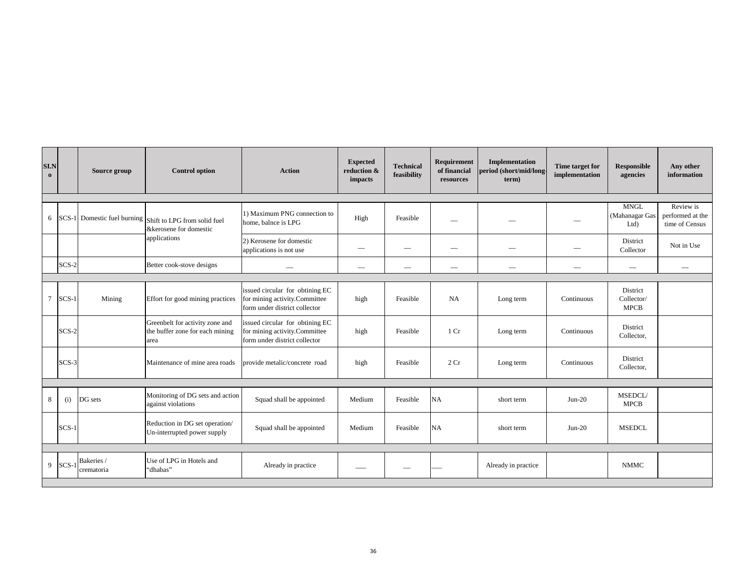| <b>SI.N</b><br>$\mathbf{o}$ |         | Source group                                    | <b>Control option</b>                                                                | <b>Action</b>                                                                                     | <b>Expected</b><br>reduction &<br>impacts | Technical<br>feasibility | Requirement<br>of financial<br>resources | Implementation<br>period (short/mid/long<br>term) | Time target for<br>implementation | <b>Responsible</b><br>agencies        | Any other<br>information                        |
|-----------------------------|---------|-------------------------------------------------|--------------------------------------------------------------------------------------|---------------------------------------------------------------------------------------------------|-------------------------------------------|--------------------------|------------------------------------------|---------------------------------------------------|-----------------------------------|---------------------------------------|-------------------------------------------------|
|                             |         |                                                 |                                                                                      |                                                                                                   |                                           |                          |                                          |                                                   |                                   |                                       |                                                 |
|                             |         |                                                 | 6 SCS-1 Domestic fuel burning Shift to LPG from solid fuel<br>&kerosene for domestic | 1) Maximum PNG connection to<br>home, balnce is LPG                                               | High                                      | Feasible                 |                                          |                                                   |                                   | <b>MNGL</b><br>(Mahanagar Gas<br>Ltd  | Review is<br>performed at the<br>time of Census |
|                             |         |                                                 | applications                                                                         | 2) Kerosene for domestic<br>applications is not use                                               | --                                        |                          |                                          | $\overline{\phantom{0}}$                          |                                   | District<br>Collector                 | Not in Use                                      |
|                             | $SCS-2$ |                                                 | Better cook-stove designs                                                            |                                                                                                   | --                                        |                          |                                          | -                                                 |                                   |                                       |                                                 |
|                             |         |                                                 |                                                                                      |                                                                                                   |                                           |                          |                                          |                                                   |                                   |                                       |                                                 |
|                             | 7 SCS-1 | Mining                                          | Effort for good mining practices                                                     | issued circular for obtining EC<br>for mining activity.Committee<br>form under district collector | high                                      | Feasible                 | NA                                       | Long term                                         | Continuous                        | District<br>Collector/<br><b>MPCB</b> |                                                 |
|                             | $SCS-2$ |                                                 | Greenbelt for activity zone and<br>the buffer zone for each mining<br>area           | issued circular for obtining EC<br>for mining activity.Committee<br>form under district collector | high                                      | Feasible                 | 1 <sub>Cr</sub>                          | Long term                                         | Continuous                        | District<br>Collector,                |                                                 |
|                             | SCS-3   |                                                 | Maintenance of mine area roads                                                       | provide metalic/concrete road                                                                     | high                                      | Feasible                 | 2 Cr                                     | Long term                                         | Continuous                        | District<br>Collector,                |                                                 |
|                             |         |                                                 |                                                                                      |                                                                                                   |                                           |                          |                                          |                                                   |                                   |                                       |                                                 |
| 8                           | (i)     | DG sets                                         | Monitoring of DG sets and action<br>against violations                               | Squad shall be appointed                                                                          | Medium                                    | Feasible                 | NA                                       | short term                                        | $Jun-20$                          | <b>MSEDCL/</b><br><b>MPCB</b>         |                                                 |
|                             | $SCS-1$ |                                                 | Reduction in DG set operation/<br>Un-interrupted power supply                        | Squad shall be appointed                                                                          | Medium                                    | Feasible                 | NA                                       | short term                                        | $Jun-20$                          | <b>MSEDCL</b>                         |                                                 |
|                             |         |                                                 |                                                                                      |                                                                                                   |                                           |                          |                                          |                                                   |                                   |                                       |                                                 |
|                             |         | 9 $ SCS-1 $ <sup>Bakeries /</sup><br>crematoria | Use of LPG in Hotels and<br>"dhabas"                                                 | Already in practice                                                                               |                                           |                          |                                          | Already in practice                               |                                   | <b>NMMC</b>                           |                                                 |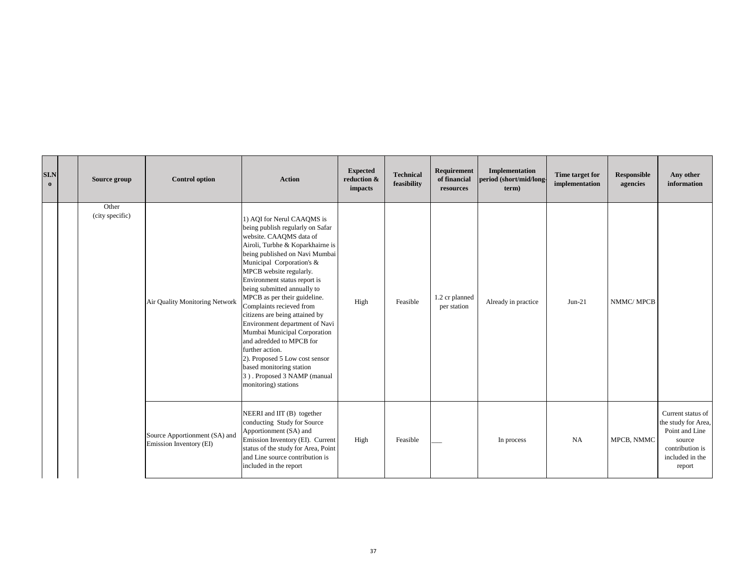| SIN<br>$\bf{0}$ | Source group             | <b>Control option</b>                                    | <b>Action</b>                                                                                                                                                                                                                                                                                                                                                                                                                                                                                                                                                                                                              | <b>Expected</b><br>reduction &<br>impacts | <b>Technical</b><br>feasibility | Requirement<br>of financial<br>resources | Implementation<br>period (short/mid/long<br>term) | Time target for<br>implementation | Responsible<br>agencies | Any other<br>information                                                                                             |
|-----------------|--------------------------|----------------------------------------------------------|----------------------------------------------------------------------------------------------------------------------------------------------------------------------------------------------------------------------------------------------------------------------------------------------------------------------------------------------------------------------------------------------------------------------------------------------------------------------------------------------------------------------------------------------------------------------------------------------------------------------------|-------------------------------------------|---------------------------------|------------------------------------------|---------------------------------------------------|-----------------------------------|-------------------------|----------------------------------------------------------------------------------------------------------------------|
|                 | Other<br>(city specific) | Air Quality Monitoring Network                           | 1) AQI for Nerul CAAQMS is<br>being publish regularly on Safar<br>website. CAAQMS data of<br>Airoli, Turbhe & Koparkhairne is<br>being published on Navi Mumbai<br>Municipal Corporation's &<br>MPCB website regularly.<br>Environment status report is<br>being submitted annually to<br>MPCB as per their guideline.<br>Complaints recieved from<br>citizens are being attained by<br>Environment department of Navi<br>Mumbai Municipal Corporation<br>and adredded to MPCB for<br>further action.<br>2). Proposed 5 Low cost sensor<br>based monitoring station<br>3). Proposed 3 NAMP (manual<br>monitoring) stations | High                                      | Feasible                        | 1.2 cr planned<br>per station            | Already in practice                               | $Jun-21$                          | NMMC/MPCB               |                                                                                                                      |
|                 |                          | Source Apportionment (SA) and<br>Emission Inventory (EI) | NEERI and IIT (B) together<br>conducting Study for Source<br>Apportionment (SA) and<br>Emission Inventory (EI). Current<br>status of the study for Area, Point<br>and Line source contribution is<br>included in the report                                                                                                                                                                                                                                                                                                                                                                                                | High                                      | Feasible                        |                                          | In process                                        | NA                                | MPCB, NMMC              | Current status of<br>the study for Area,<br>Point and Line<br>source<br>contribution is<br>included in the<br>report |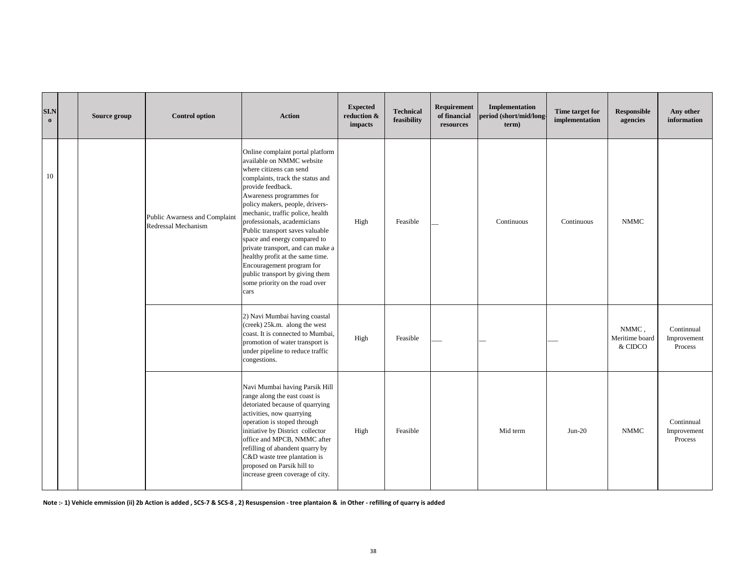| SI.N<br>$\mathbf{o}$ | Source group | <b>Control option</b>                                | <b>Action</b>                                                                                                                                                                                                                                                                                                                                                                                                                                                                                                                             | <b>Expected</b><br>reduction &<br>impacts | <b>Technical</b><br>feasibility | Requirement<br>of financial<br>resources | Implementation<br>period (short/mid/long-<br>term) | Time target for<br>implementation | Responsible<br>agencies            | Any other<br>information             |
|----------------------|--------------|------------------------------------------------------|-------------------------------------------------------------------------------------------------------------------------------------------------------------------------------------------------------------------------------------------------------------------------------------------------------------------------------------------------------------------------------------------------------------------------------------------------------------------------------------------------------------------------------------------|-------------------------------------------|---------------------------------|------------------------------------------|----------------------------------------------------|-----------------------------------|------------------------------------|--------------------------------------|
| 10                   |              | Public Awarness and Complaint<br>Redressal Mechanism | Online complaint portal platform<br>available on NMMC website<br>where citizens can send<br>complaints, track the status and<br>provide feedback.<br>Awareness programmes for<br>policy makers, people, drivers-<br>mechanic, traffic police, health<br>professionals, academicians<br>Public transport saves valuable<br>space and energy compared to<br>private transport, and can make a<br>healthy profit at the same time.<br>Encouragement program for<br>public transport by giving them<br>some priority on the road over<br>cars | High                                      | Feasible                        |                                          | Continuous                                         | Continuous                        | <b>NMMC</b>                        |                                      |
|                      |              |                                                      | 2) Navi Mumbai having coastal<br>(creek) 25k.m. along the west<br>coast. It is connected to Mumbai,<br>promotion of water transport is<br>under pipeline to reduce traffic<br>congestions.                                                                                                                                                                                                                                                                                                                                                | High                                      | Feasible                        |                                          |                                                    |                                   | NMMC,<br>Meritime board<br>& CIDCO | Continnual<br>Improvement<br>Process |
|                      |              |                                                      | Navi Mumbai having Parsik Hill<br>range along the east coast is<br>detoriated because of quarrying<br>activities, now quarrying<br>operation is stoped through<br>initiative by District collector<br>office and MPCB, NMMC after<br>refilling of abandent quarry by<br>C&D waste tree plantation is<br>proposed on Parsik hill to<br>increase green coverage of city.                                                                                                                                                                    | High                                      | Feasible                        |                                          | Mid term                                           | $Jun-20$                          | <b>NMMC</b>                        | Continnual<br>Improvement<br>Process |

**Note :- 1) Vehicle emmission (ii) 2b Action is added , SCS-7 & SCS-8 , 2) Resuspension - tree plantaion & in Other - refilling of quarry is added**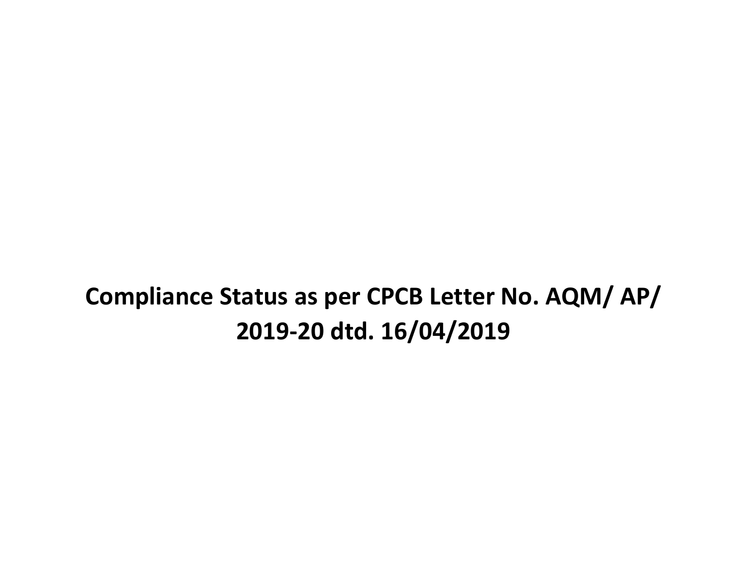# **Compliance Status as per CPCB Letter No. AQM/ AP/ 2019-20 dtd. 16/04/2019**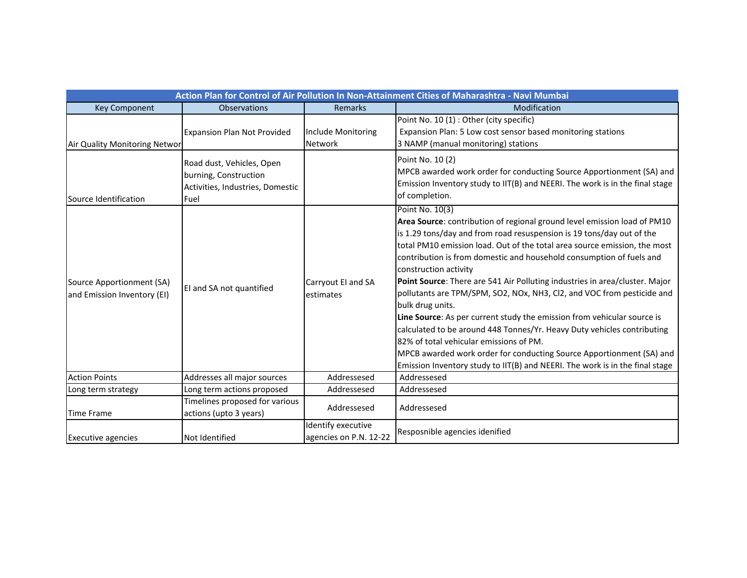| Action Plan for Control of Air Pollution In Non-Attainment Cities of Maharashtra - Navi Mumbai |                                                                                                |                                              |                                                                                                                                                                                                                                                                                                                                                                                                                                                                                                                                                                                                                                                                                                                                                                                                                                                                                          |  |  |  |  |
|------------------------------------------------------------------------------------------------|------------------------------------------------------------------------------------------------|----------------------------------------------|------------------------------------------------------------------------------------------------------------------------------------------------------------------------------------------------------------------------------------------------------------------------------------------------------------------------------------------------------------------------------------------------------------------------------------------------------------------------------------------------------------------------------------------------------------------------------------------------------------------------------------------------------------------------------------------------------------------------------------------------------------------------------------------------------------------------------------------------------------------------------------------|--|--|--|--|
| <b>Key Component</b>                                                                           | <b>Observations</b>                                                                            | <b>Remarks</b>                               | Modification                                                                                                                                                                                                                                                                                                                                                                                                                                                                                                                                                                                                                                                                                                                                                                                                                                                                             |  |  |  |  |
| Air Quality Monitoring Networ                                                                  | <b>Expansion Plan Not Provided</b>                                                             | Include Monitoring<br><b>Network</b>         | Point No. 10 (1) : Other (city specific)<br>Expansion Plan: 5 Low cost sensor based monitoring stations<br>3 NAMP (manual monitoring) stations                                                                                                                                                                                                                                                                                                                                                                                                                                                                                                                                                                                                                                                                                                                                           |  |  |  |  |
| Source Identification                                                                          | Road dust, Vehicles, Open<br>burning, Construction<br>Activities, Industries, Domestic<br>Fuel |                                              | Point No. 10 (2)<br>MPCB awarded work order for conducting Source Apportionment (SA) and<br>Emission Inventory study to IIT(B) and NEERI. The work is in the final stage<br>of completion.                                                                                                                                                                                                                                                                                                                                                                                                                                                                                                                                                                                                                                                                                               |  |  |  |  |
| Source Apportionment (SA)<br>and Emission Inventory (EI)                                       | EI and SA not quantified                                                                       | Carryout EI and SA<br>estimates              | Point No. 10(3)<br>Area Source: contribution of regional ground level emission load of PM10<br>is 1.29 tons/day and from road resuspension is 19 tons/day out of the<br>total PM10 emission load. Out of the total area source emission, the most<br>contribution is from domestic and household consumption of fuels and<br>construction activity<br>Point Source: There are 541 Air Polluting industries in area/cluster. Major<br>pollutants are TPM/SPM, SO2, NOx, NH3, Cl2, and VOC from pesticide and<br>bulk drug units.<br>Line Source: As per current study the emission from vehicular source is<br>calculated to be around 448 Tonnes/Yr. Heavy Duty vehicles contributing<br>82% of total vehicular emissions of PM.<br>MPCB awarded work order for conducting Source Apportionment (SA) and<br>Emission Inventory study to IIT(B) and NEERI. The work is in the final stage |  |  |  |  |
| <b>Action Points</b>                                                                           | Addresses all major sources                                                                    | Addressesed                                  | Addressesed                                                                                                                                                                                                                                                                                                                                                                                                                                                                                                                                                                                                                                                                                                                                                                                                                                                                              |  |  |  |  |
| Long term strategy                                                                             | Long term actions proposed                                                                     | Addressesed                                  | Addressesed                                                                                                                                                                                                                                                                                                                                                                                                                                                                                                                                                                                                                                                                                                                                                                                                                                                                              |  |  |  |  |
| <b>Time Frame</b>                                                                              | Timelines proposed for various<br>actions (upto 3 years)                                       | Addressesed                                  | Addressesed                                                                                                                                                                                                                                                                                                                                                                                                                                                                                                                                                                                                                                                                                                                                                                                                                                                                              |  |  |  |  |
| <b>Executive agencies</b>                                                                      | Not Identified                                                                                 | Identify executive<br>agencies on P.N. 12-22 | Resposnible agencies idenified                                                                                                                                                                                                                                                                                                                                                                                                                                                                                                                                                                                                                                                                                                                                                                                                                                                           |  |  |  |  |